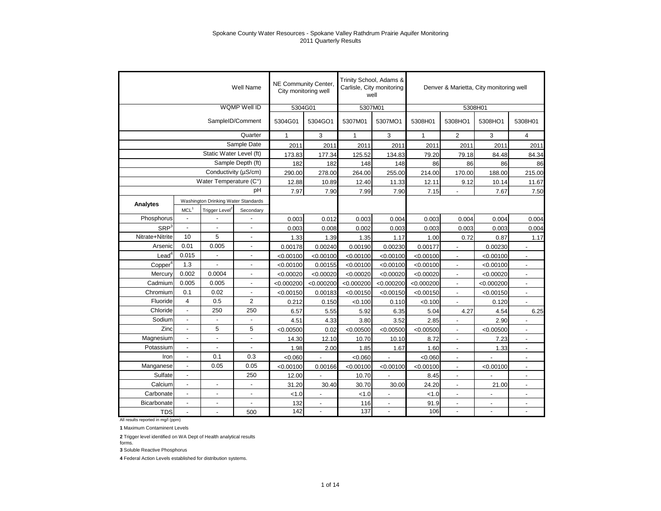|                     |                          |                                     | Well Name         | NE Community Center.<br>City monitoring well |                          | Trinity School, Adams & | Carlisle, City monitoring<br>well |              | Denver & Marietta, City monitoring well |                          |                          |
|---------------------|--------------------------|-------------------------------------|-------------------|----------------------------------------------|--------------------------|-------------------------|-----------------------------------|--------------|-----------------------------------------|--------------------------|--------------------------|
|                     |                          |                                     | WQMP Well ID      | 5304G01                                      |                          | 5307M01                 |                                   |              | 5308H01                                 |                          |                          |
|                     |                          |                                     | SampleID/Comment  | 5304G01                                      | 5304GO1                  | 5307M01                 | 5307MO1                           | 5308H01      | 5308HO1                                 | 5308HO1                  | 5308H01                  |
|                     |                          |                                     | Quarter           | $\mathbf{1}$                                 | 3                        | $\mathbf{1}$            | 3                                 | $\mathbf{1}$ | $\overline{2}$                          | 3                        | $\overline{4}$           |
|                     |                          |                                     | Sample Date       | 2011                                         | 2011                     | 2011                    | 2011                              | 2011         | 2011                                    | 2011                     | 2011                     |
|                     |                          | Static Water Level (ft)             |                   | 173.83                                       | 177.34                   | 125.52                  | 134.83                            | 79.20        | 79.18                                   | 84.48                    | 84.34                    |
|                     |                          |                                     | Sample Depth (ft) | 182                                          | 182                      | 148                     | 148                               | 86           | 86                                      | 86                       | 86                       |
|                     |                          | Conductivity (µS/cm)                |                   | 290.00                                       | 278.00                   | 264.00                  | 255.00                            | 214.00       | 170.00                                  | 188.00                   | 215.00                   |
|                     |                          | Water Temperature (C°)              |                   | 12.88                                        | 10.89                    | 12.40                   | 11.33                             | 12.11        | 9.12                                    | 10.14                    | 11.67                    |
|                     |                          |                                     | pH                | 7.97                                         | 7.90                     | 7.99                    | 7.90                              | 7.15         |                                         | 7.67                     | 7.50                     |
| Analytes            |                          | Washington Drinking Water Standards |                   |                                              |                          |                         |                                   |              |                                         |                          |                          |
|                     | MCL <sup>1</sup>         | Trigger Level <sup>2</sup>          | Secondary         |                                              |                          |                         |                                   |              |                                         |                          |                          |
| Phosphorus          | $\blacksquare$           |                                     |                   | 0.003                                        | 0.012                    | 0.003                   | 0.004                             | 0.003        | 0.004                                   | 0.004                    | 0.004                    |
| SRP <sup>3</sup>    | $\overline{a}$           |                                     |                   | 0.003                                        | 0.008                    | 0.002                   | 0.003                             | 0.003        | 0.003                                   | 0.003                    | 0.004                    |
| Nitrate+Nitrite     | 10                       | 5                                   |                   | 1.33                                         | 1.39                     | 1.35                    | 1.17                              | 1.00         | 0.72                                    | 0.87                     | 1.17                     |
| Arsenic             | 0.01                     | 0.005                               | $\mathbf{r}$      | 0.00178                                      | 0.00240                  | 0.00190                 | 0.00230                           | 0.00177      | $\overline{\phantom{a}}$                | 0.00230                  |                          |
| $\textsf{lead}^4$   | 0.015                    |                                     | ÷,                | < 0.00100                                    | < 0.00100                | < 0.00100               | < 0.00100                         | < 0.00100    | $\blacksquare$                          | < 0.00100                | $\overline{a}$           |
| Copper <sup>4</sup> | 1.3                      |                                     | $\overline{a}$    | < 0.00100                                    | 0.00155                  | < 0.00100               | < 0.00100                         | < 0.00100    | $\blacksquare$                          | < 0.00100                | $\overline{a}$           |
| Mercury             | 0.002                    | 0.0004                              | ÷,                | < 0.00020                                    | < 0.00020                | < 0.00020               | < 0.00020                         | < 0.00020    | $\overline{\phantom{a}}$                | < 0.00020                | $\blacksquare$           |
| Cadmium             | 0.005                    | 0.005                               | $\blacksquare$    | < 0.000200                                   | < 0.000200               | < 0.000200              | < 0.000200                        | < 0.000200   | $\overline{\phantom{a}}$                | < 0.000200               | $\blacksquare$           |
| Chromium            | 0.1                      | 0.02                                | ÷,                | < 0.00150                                    | 0.00183                  | < 0.00150               | < 0.00150                         | < 0.00150    | $\overline{a}$                          | < 0.00150                | $\overline{\phantom{a}}$ |
| Fluoride            | 4                        | 0.5                                 | $\overline{2}$    | 0.212                                        | 0.150                    | < 0.100                 | 0.110                             | < 0.100      |                                         | 0.120                    |                          |
| Chloride            | $\blacksquare$           | 250                                 | 250               | 6.57                                         | 5.55                     | 5.92                    | 6.35                              | 5.04         | 4.27                                    | 4.54                     | 6.25                     |
| Sodium              | $\blacksquare$           |                                     |                   | 4.51                                         | 4.33                     | 3.80                    | 3.52                              | 2.85         | $\overline{a}$                          | 2.90                     |                          |
| Zinc                | $\overline{\phantom{a}}$ | 5                                   | 5                 | < 0.00500                                    | 0.02                     | < 0.00500               | < 0.00500                         | < 0.00500    | $\overline{a}$                          | < 0.00500                | $\blacksquare$           |
| Magnesium           | $\overline{\phantom{a}}$ |                                     |                   | 14.30                                        | 12.10                    | 10.70                   | 10.10                             | 8.72         | $\overline{\phantom{a}}$                | 7.23                     | $\blacksquare$           |
| Potassium           | $\blacksquare$           |                                     |                   | 1.98                                         | 2.00                     | 1.85                    | 1.67                              | 1.60         | $\overline{a}$                          | 1.33                     | $\overline{a}$           |
| Iron                | $\overline{\phantom{a}}$ | 0.1                                 | 0.3               | < 0.060                                      |                          | < 0.060                 |                                   | < 0.060      | $\blacksquare$                          |                          | $\blacksquare$           |
| Manganese           | $\blacksquare$           | 0.05                                | 0.05              | < 0.00100                                    | 0.00166                  | < 0.00100               | < 0.00100                         | < 0.00100    | $\overline{\phantom{a}}$                | < 0.00100                | $\overline{a}$           |
| Sulfate             | $\overline{\phantom{a}}$ |                                     | 250               | 12.00                                        |                          | 10.70                   |                                   | 8.45         | $\overline{a}$                          |                          | $\blacksquare$           |
| Calcium             | $\blacksquare$           |                                     |                   | 31.20                                        | 30.40                    | 30.70                   | 30.00                             | 24.20        | $\overline{a}$                          | 21.00                    | $\blacksquare$           |
| Carbonate           | $\blacksquare$           | ÷,                                  | $\overline{a}$    | < 1.0                                        | $\overline{\phantom{a}}$ | < 1.0                   | $\overline{a}$                    | 1.0          | $\overline{a}$                          | $\overline{\phantom{a}}$ | $\overline{\phantom{a}}$ |
| Bicarbonate         | $\overline{\phantom{a}}$ | $\overline{a}$                      |                   | 132                                          | $\blacksquare$           | 116                     | $\overline{\phantom{a}}$          | 91.9         | $\blacksquare$                          | $\blacksquare$           | $\blacksquare$           |
| <b>TDS</b>          |                          |                                     | 500               | 142                                          | $\overline{\phantom{a}}$ | 137                     |                                   | 106          |                                         |                          |                          |

All results reported in mg/l (ppm)

**1** Maximum Contaminent Levels

**2** Trigger level identified on WA Dept of Health analytical results forms.

**3** Soluble Reactive Phosphorus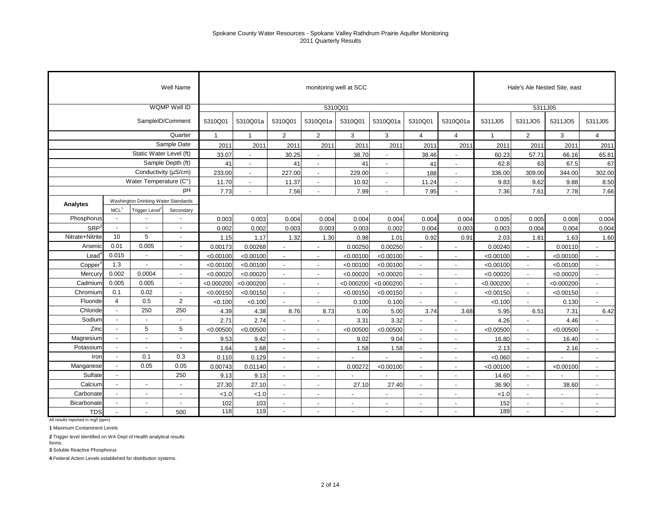|                  |                  |                                     | Well Name                |              |                          |                          | monitoring well at SCC   |                          |                          |                          |                          |              |                          | Hale's Ale Nested Site, east |                          |
|------------------|------------------|-------------------------------------|--------------------------|--------------|--------------------------|--------------------------|--------------------------|--------------------------|--------------------------|--------------------------|--------------------------|--------------|--------------------------|------------------------------|--------------------------|
|                  |                  |                                     | WQMP Well ID             |              |                          |                          |                          | 5310Q01                  |                          |                          |                          |              | 5311J05                  |                              |                          |
|                  |                  |                                     | SampleID/Comment         | 5310Q01      | 5310Q01a                 | 5310Q01                  | 5310Q01a                 | 5310Q01                  | 5310Q01a                 | 5310Q01                  | 5310Q01a                 | 5311J05      | 5311JO5                  | 5311JO5                      | 5311J05                  |
|                  |                  |                                     | Quarter                  | $\mathbf{1}$ | $\mathbf{1}$             | $\overline{2}$           | $\overline{2}$           | 3                        | 3                        | 4                        | $\overline{4}$           | $\mathbf{1}$ | 2                        | 3                            | $\overline{4}$           |
|                  |                  |                                     | Sample Date              | 2011         | 2011                     | 2011                     | 2011                     | 2011                     | 2011                     | 2011                     | 2011                     | 2011         | 2011                     | 2011                         | 2011                     |
|                  |                  | Static Water Level (ft)             |                          | 33.07        | $\blacksquare$           | 30.25                    | $\blacksquare$           | 38.70                    | $\blacksquare$           | 38.46                    | $\blacksquare$           | 60.23        | 57.71                    | 66.16                        | 65.81                    |
|                  |                  |                                     | Sample Depth (ft)        | 41           | $\blacksquare$           | 41                       | $\blacksquare$           | 41                       | $\blacksquare$           | 41                       | $\blacksquare$           | 62.8         | 63                       | 67.5                         | 67                       |
|                  |                  |                                     | Conductivity (µS/cm)     | 233.00       | $\overline{\phantom{a}}$ | 227.00                   | $\overline{\phantom{a}}$ | 229.00                   | $\overline{\phantom{a}}$ | 188                      | $\overline{\phantom{a}}$ | 336.00       | 309.00                   | 344.00                       | 302.00                   |
|                  |                  | Water Temperature (C°)              |                          | 11.70        | $\blacksquare$           | 11.37                    | $\blacksquare$           | 10.92                    | $\sim$                   | 11.24                    | $\blacksquare$           | 9.83         | 9.62                     | 9.88                         | 8.50                     |
|                  |                  |                                     | pH                       | 7.73         |                          | 7.56                     |                          | 7.99                     |                          | 7.95                     | ٠                        | 7.36         | 7.61                     | 7.78                         | 7.66                     |
| Analytes         |                  | Washington Drinking Water Standards |                          |              |                          |                          |                          |                          |                          |                          |                          |              |                          |                              |                          |
|                  | MCL <sup>1</sup> | Trigger Level <sup>2</sup>          | Secondary                |              |                          |                          |                          |                          |                          |                          |                          |              |                          |                              |                          |
| Phosphorus       | $\overline{a}$   |                                     | $\overline{a}$           | 0.003        | 0.003                    | 0.004                    | 0.004                    | 0.004                    | 0.004                    | 0.004                    | 0.004                    | 0.005        | 0.005                    | 0.008                        | 0.004                    |
| SRP <sup>3</sup> | $\overline{a}$   |                                     | $\overline{a}$           | 0.002        | 0.002                    | 0.003                    | 0.003                    | 0.003                    | 0.002                    | 0.004                    | 0.003                    | 0.003        | 0.004                    | 0.004                        | 0.004                    |
| Nitrate+Nitrite  | 10               | 5                                   |                          | 1.15         | 1.17                     | 1.32                     | 1.30                     | 0.98                     | 1.01                     | 0.92                     | 0.91                     | 2.03         | 1.81                     | 1.63                         | 1.60                     |
| Arsenic          | 0.01             | 0.005                               | $\overline{a}$           | 0.00173      | 0.00268                  |                          |                          | 0.00250                  | 0.00250                  |                          |                          | 0.00240      |                          | 0.00110                      |                          |
| Lead             | 0.015            | $\overline{a}$                      | $\overline{a}$           | < 0.00100    | < 0.00100                |                          |                          | < 0.00100                | < 0.00100                |                          |                          | < 0.00100    |                          | < 0.00100                    | $\overline{\phantom{a}}$ |
| Copper           | 1.3              | $\mathbf{r}$                        | $\overline{a}$           | < 0.00100    | < 0.00100                |                          | $\overline{\phantom{a}}$ | < 0.00100                | < 0.00100                |                          |                          | < 0.00100    |                          | < 0.00100                    | $\overline{a}$           |
| Mercury          | 0.002            | 0.0004                              | $\overline{a}$           | < 0.00020    | < 0.00020                |                          | $\overline{\phantom{a}}$ | < 0.00020                | < 0.00020                | $\overline{\phantom{a}}$ |                          | < 0.00020    |                          | < 0.00020                    | ÷,                       |
| Cadmium          | 0.005            | 0.005                               | ÷,                       | < 0.000200   | < 0.000200               |                          | $\blacksquare$           | < 0.000200               | < 0.000200               |                          |                          | < 0.000200   |                          | < 0.000200                   |                          |
| Chromium         | 0.1              | 0.02                                | ÷,                       | < 0.00150    | < 0.00150                |                          | $\blacksquare$           | < 0.00150                | < 0.00150                |                          |                          | < 0.00150    |                          | < 0.00150                    | $\blacksquare$           |
| Fluoride         | $\overline{4}$   | 0.5                                 | 2                        | < 0.100      | < 0.100                  |                          |                          | 0.100                    | 0.100                    |                          |                          | < 0.100      |                          | 0.130                        | $\overline{a}$           |
| Chloride         | $\blacksquare$   | 250                                 | 250                      | 4.39         | 4.38                     | 8.76                     | 8.73                     | 5.00                     | 5.00                     | 3.74                     | 3.68                     | 5.95         | 6.51                     | 7.31                         | 6.42                     |
| Sodium           | $\overline{a}$   |                                     | $\overline{a}$           | 2.71         | 2.74                     | $\blacksquare$           | $\blacksquare$           | 3.31                     | 3.32                     | $\blacksquare$           |                          | 4.26         |                          | 4.46                         |                          |
| Zinc             | $\overline{a}$   | 5                                   | 5                        | < 0.00500    | < 0.00500                |                          | $\overline{a}$           | < 0.00500                | < 0.00500                |                          |                          | < 0.00500    |                          | < 0.00500                    | $\blacksquare$           |
| Magnesium        |                  | ÷.                                  | $\overline{a}$           | 9.53         | 9.42                     | $\blacksquare$           | $\blacksquare$           | 9.02                     | 9.04                     | $\blacksquare$           |                          | 16.80        | $\overline{\phantom{a}}$ | 16.40                        | $\blacksquare$           |
| Potassium        |                  |                                     | $\overline{a}$           | 1.64         | 1.68                     |                          | $\blacksquare$           | 1.58                     | 1.58                     |                          |                          | 2.13         | $\sim$                   | 2.16                         | ÷,                       |
| Iron             | $\overline{a}$   | 0.1                                 | 0.3                      | 0.110        | 0.129                    | $\blacksquare$           | $\blacksquare$           |                          |                          | $\blacksquare$           |                          | < 0.060      | $\overline{\phantom{a}}$ |                              | $\overline{\phantom{a}}$ |
| Manganese        |                  | 0.05                                | 0.05                     | 0.00743      | 0.01140                  | $\blacksquare$           | $\blacksquare$           | 0.00272                  | < 0.00100                | $\blacksquare$           |                          | < 0.00100    | $\overline{\phantom{a}}$ | < 0.00100                    | $\blacksquare$           |
| Sulfate          | $\blacksquare$   |                                     | 250                      | 9.13         | 9.13                     | $\blacksquare$           | $\blacksquare$           |                          |                          | $\blacksquare$           | $\blacksquare$           | 14.60        | $\overline{\phantom{a}}$ |                              | $\blacksquare$           |
| Calcium          |                  | $\overline{\phantom{a}}$            | $\overline{\phantom{a}}$ | 27.30        | 27.10                    | $\blacksquare$           | $\overline{\phantom{a}}$ | 27.10                    | 27.40                    | $\overline{\phantom{a}}$ | $\overline{\phantom{a}}$ | 36.90        | $\overline{\phantom{a}}$ | 38.60                        | $\blacksquare$           |
| Carbonate        |                  | $\blacksquare$                      | $\blacksquare$           | < 1.0        | < 1.0                    | $\overline{\phantom{a}}$ | $\overline{\phantom{a}}$ | $\overline{\phantom{a}}$ | $\blacksquare$           | $\overline{\phantom{a}}$ | $\blacksquare$           | < 1.0        | $\overline{\phantom{a}}$ |                              | $\overline{\phantom{a}}$ |
| Bicarbonate      |                  | $\blacksquare$                      | $\sim$                   | 102          | 103                      | $\overline{\phantom{a}}$ | $\overline{\phantom{a}}$ | $\overline{\phantom{a}}$ | $\overline{\phantom{a}}$ | $\overline{\phantom{a}}$ | $\blacksquare$           | 152          | $\overline{\phantom{a}}$ | $\overline{\phantom{a}}$     | $\overline{\phantom{a}}$ |
| <b>TDS</b>       |                  |                                     | 500                      | 118          | 119                      |                          |                          |                          |                          |                          |                          | 189          |                          |                              |                          |

All results reported in mg/l (ppm)

**1** Maximum Contaminent Levels

**2** Trigger level identified on WA Dept of Health analytical results forms.

**3** Soluble Reactive Phosphorus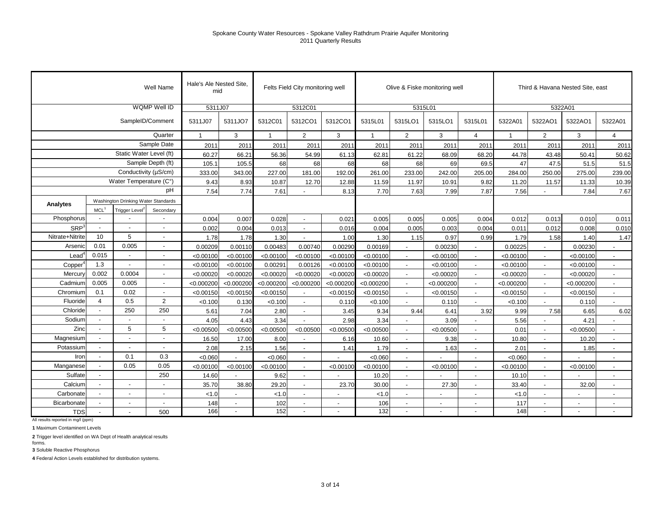|                     |                          |                                     | Well Name                | Hale's Ale Nested Site,<br>mid |                          |              | Felts Field City monitoring well |            |              |                          | Olive & Fiske monitoring well |                          |              | Third & Havana Nested Site, east |            |                          |
|---------------------|--------------------------|-------------------------------------|--------------------------|--------------------------------|--------------------------|--------------|----------------------------------|------------|--------------|--------------------------|-------------------------------|--------------------------|--------------|----------------------------------|------------|--------------------------|
|                     |                          |                                     | WQMP Well ID             | 5311J07                        |                          |              | 5312C01                          |            |              | 5315L01                  |                               |                          |              | 5322A01                          |            |                          |
|                     |                          | SampleID/Comment                    |                          | 5311J07                        | 5311JO7                  | 5312C01      | 5312CO1                          | 5312CO1    | 5315L01      | 5315LO1                  | 5315LO1                       | 5315L01                  | 5322A01      | 5322AO1                          | 5322AO1    | 5322A01                  |
|                     |                          |                                     | Quarter                  | $\mathbf{1}$                   | 3                        | $\mathbf{1}$ | $\overline{2}$                   | 3          | $\mathbf{1}$ | $\overline{2}$           | 3                             | $\overline{4}$           | $\mathbf{1}$ | $\overline{2}$                   | 3          | $\overline{4}$           |
|                     |                          |                                     | Sample Date              | 2011                           | 2011                     | 2011         | 2011                             | 2011       | 2011         | 2011                     | 2011                          | 2011                     | 2011         | 2011                             | 2011       | 2011                     |
|                     |                          | Static Water Level (ft)             |                          | 60.27                          | 66.21                    | 56.36        | 54.99                            | 61.13      | 62.81        | 61.22                    | 68.09                         | 68.20                    | 44.78        | 43.48                            | 50.41      | 50.62                    |
|                     |                          |                                     | Sample Depth (ft)        | 105.1                          | 105.5                    | 68           | 68                               | 68         | 68           | 68                       | 69                            | 69.5                     | 47           | 47.5                             | 51.5       | 51.5                     |
|                     |                          | Conductivity (µS/cm)                |                          | 333.00                         | 343.00                   | 227.00       | 181.00                           | 192.00     | 261.00       | 233.00                   | 242.00                        | 205.00                   | 284.00       | 250.00                           | 275.00     | 239.00                   |
|                     |                          | Water Temperature (C°)              |                          | 9.43                           | 8.93                     | 10.87        | 12.70                            | 12.88      | 11.59        | 11.97                    | 10.91                         | 9.82                     | 11.20        | 11.57                            | 11.33      | 10.39                    |
|                     |                          |                                     | pH                       | 7.54                           | 7.74                     | 7.61         |                                  | 8.13       | 7.70         | 7.63                     | 7.99                          | 7.87                     | 7.56         |                                  | 7.84       | 7.67                     |
| Analytes            |                          | Washington Drinking Water Standards |                          |                                |                          |              |                                  |            |              |                          |                               |                          |              |                                  |            |                          |
|                     | MCL <sup>1</sup>         | Trigger Level <sup>2</sup>          | Secondary                |                                |                          |              |                                  |            |              |                          |                               |                          |              |                                  |            |                          |
| Phosphorus          | $\overline{\phantom{a}}$ |                                     |                          | 0.004                          | 0.007                    | 0.028        |                                  | 0.021      | 0.005        | 0.005                    | 0.005                         | 0.004                    | 0.012        | 0.013                            | 0.010      | 0.011                    |
| SRP <sup>3</sup>    | $\blacksquare$           |                                     | $\overline{a}$           | 0.002                          | 0.004                    | 0.013        |                                  | 0.016      | 0.004        | 0.005                    | 0.003                         | 0.004                    | 0.011        | 0.012                            | 0.008      | 0.010                    |
| Nitrate+Nitrite     | 10                       | $\overline{5}$                      | $\blacksquare$           | 1.78                           | 1.78                     | 1.30         |                                  | 1.00       | 1.30         | 1.15                     | 0.97                          | 0.99                     | 1.79         | 1.58                             | 1.40       | 1.47                     |
| Arsenic             | 0.01                     | 0.005                               | $\blacksquare$           | 0.00209                        | 0.00110                  | 0.00483      | 0.00740                          | 0.00290    | 0.00169      |                          | 0.00230                       |                          | 0.00225      |                                  | 0.00230    |                          |
| Lead                | 0.015                    |                                     | $\blacksquare$           | < 0.00100                      | < 0.00100                | < 0.00100    | < 0.00100                        | < 0.00100  | < 0.00100    |                          | < 0.00100                     |                          | < 0.00100    |                                  | < 0.00100  |                          |
| Copper <sup>®</sup> | 1.3                      | $\blacksquare$                      | $\blacksquare$           | < 0.00100                      | < 0.00100                | 0.00291      | 0.00126                          | < 0.00100  | < 0.00100    |                          | < 0.00100                     |                          | < 0.00100    |                                  | < 0.00100  |                          |
| Mercury             | 0.002                    | 0.0004                              | $\blacksquare$           | < 0.00020                      | < 0.00020                | < 0.00020    | < 0.00020                        | < 0.00020  | < 0.00020    |                          | < 0.00020                     |                          | < 0.00020    |                                  | < 0.00020  |                          |
| Cadmium             | 0.005                    | 0.005                               | $\overline{a}$           | < 0.000200                     | < 0.000200               | < 0.000200   | < 0.000200                       | < 0.000200 | < 0.000200   |                          | < 0.000200                    |                          | < 0.000200   |                                  | < 0.000200 |                          |
| Chromium            | 0.1                      | 0.02                                | $\blacksquare$           | < 0.00150                      | < 0.00150                | < 0.00150    |                                  | < 0.00150  | < 0.00150    |                          | < 0.00150                     |                          | < 0.00150    |                                  | < 0.00150  |                          |
| Fluoride            | $\overline{4}$           | 0.5                                 | 2                        | < 0.100                        | 0.130                    | < 0.100      |                                  | 0.110      | < 0.100      |                          | 0.110                         |                          | < 0.100      |                                  | 0.110      |                          |
| Chloride            | $\overline{\phantom{a}}$ | 250                                 | 250                      | 5.61                           | 7.04                     | 2.80         | $\overline{\phantom{a}}$         | 3.45       | 9.34         | 9.44                     | 6.41                          | 3.92                     | 9.99         | 7.58                             | 6.65       | 6.02                     |
| Sodium              | $\overline{\phantom{a}}$ | $\overline{\phantom{a}}$            | $\blacksquare$           | 4.05                           | 4.43                     | 3.34         | $\overline{a}$                   | 2.98       | 3.34         |                          | 3.09                          |                          | 5.56         |                                  | 4.21       |                          |
| Zinc                | $\blacksquare$           | 5                                   | 5                        | < 0.00500                      | < 0.00500                | < 0.00500    | < 0.00500                        | < 0.00500  | < 0.00500    |                          | < 0.00500                     |                          | 0.01         |                                  | < 0.00500  |                          |
| Magnesium           |                          | $\overline{a}$                      | $\overline{\phantom{a}}$ | 16.50                          | 17.00                    | 8.00         |                                  | 6.16       | 10.60        |                          | 9.38                          |                          | 10.80        |                                  | 10.20      | $\sim$                   |
| Potassium           | $\overline{a}$           | $\overline{a}$                      | $\overline{a}$           | 2.08                           | 2.15                     | 1.56         |                                  | 1.41       | 1.79         |                          | 1.63                          | $\overline{a}$           | 2.01         |                                  | 1.85       | $\sim$                   |
| Iron                | $\overline{a}$           | 0.1                                 | 0.3                      | <0.060                         | $\overline{a}$           | < 0.060      | $\sim$                           |            | < 0.060      |                          |                               |                          | < 0.060      |                                  |            | $\overline{\phantom{a}}$ |
| Manganese           | $\overline{a}$           | 0.05                                | 0.05                     | < 0.00100                      | < 0.00100                | < 0.00100    | $\sim$                           | < 0.00100  | < 0.00100    | $\overline{a}$           | < 0.00100                     | $\overline{a}$           | < 0.00100    |                                  | < 0.00100  | $\overline{a}$           |
| Sulfate             | ÷,                       |                                     | 250                      | 14.60                          |                          | 9.62         |                                  |            | 10.20        |                          |                               | $\blacksquare$           | 10.10        |                                  |            | $\sim$                   |
| Calcium             | $\overline{a}$           | $\overline{a}$                      | $\overline{a}$           | 35.70                          | 38.80                    | 29.20        | $\overline{a}$                   | 23.70      | 30.00        | $\overline{\phantom{a}}$ | 27.30                         | $\overline{a}$           | 33.40        | $\overline{a}$                   | 32.00      | $\overline{a}$           |
| Carbonate           | $\overline{\phantom{a}}$ | $\blacksquare$                      | $\overline{a}$           | < 1.0                          |                          | < 1.0        | $\blacksquare$                   |            | < 1.0        | $\blacksquare$           |                               | $\blacksquare$           | 1.0          |                                  |            | $\blacksquare$           |
| Bicarbonate         | ÷,                       | $\blacksquare$                      | $\sim$                   | 148                            | $\overline{\phantom{a}}$ | 102          | $\blacksquare$                   |            | 106          | $\blacksquare$           |                               | $\overline{\phantom{a}}$ | 117          | $\blacksquare$                   |            | $\blacksquare$           |
| <b>TDS</b>          | $\overline{a}$           | $\overline{a}$                      | 500                      | 166                            |                          | 152          |                                  |            | 132          |                          |                               |                          | 148          |                                  |            |                          |

All results reported in mg/l (ppm)

**1** Maximum Contaminent Levels

**2** Trigger level identified on WA Dept of Health analytical results forms.

**3** Soluble Reactive Phosphorus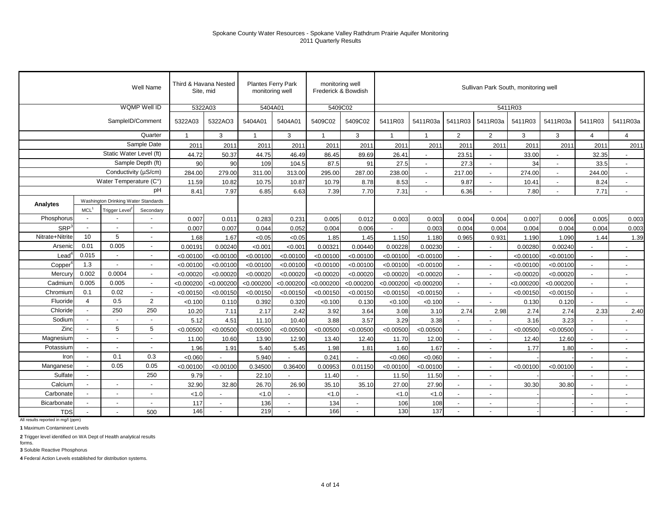|                   |                          |                                     | Well Name                |              | Third & Havana Nested<br>Site, mid | monitoring well | <b>Plantes Ferry Park</b> | monitoring well<br>Frederick & Bowdish |                          |                         |                |                          | Sullivan Park South, monitoring well |            |            |                          |                          |
|-------------------|--------------------------|-------------------------------------|--------------------------|--------------|------------------------------------|-----------------|---------------------------|----------------------------------------|--------------------------|-------------------------|----------------|--------------------------|--------------------------------------|------------|------------|--------------------------|--------------------------|
|                   |                          |                                     | WQMP Well ID             |              | 5322A03                            | 5404A01         |                           | 5409C02                                |                          |                         |                |                          |                                      | 5411R03    |            |                          |                          |
|                   |                          |                                     | SampleID/Comment         | 5322A03      | 5322AO3                            | 5404A01         | 5404A01                   | 5409C02                                | 5409C02                  | 5411R03                 | 5411R03a       | 5411R03                  | 5411R03a                             | 5411R03    | 5411R03a   | 5411R03                  | 5411R03a                 |
|                   |                          |                                     | Quarter                  | $\mathbf{1}$ | 3                                  | $\overline{1}$  | 3                         | $\mathbf{1}$                           | 3                        | $\overline{\mathbf{1}}$ | $\overline{1}$ | $\overline{2}$           | $\overline{2}$                       | 3          | 3          | $\overline{4}$           | $\overline{4}$           |
|                   |                          |                                     | Sample Date              | 2011         | 201'                               | 2011            | 201'                      | 2011                                   | 2011                     | 2011                    | 2011           | 2011                     | 2011                                 | 2011       | 2011       | 2011                     | 2011                     |
|                   |                          | Static Water Level (ft)             |                          | 44.72        | 50.37                              | 44.75           | 46.49                     | 86.45                                  | 89.69                    | 26.41                   |                | 23.51                    |                                      | 33.00      |            | 32.35                    |                          |
|                   |                          |                                     | Sample Depth (ft)        | 90           | 90                                 | 109             | 104.5                     | 87.5                                   | 91                       | 27.5                    |                | 27.3                     |                                      | 34         |            | 33.5                     | $\overline{\phantom{a}}$ |
|                   |                          | Conductivity (µS/cm)                |                          | 284.00       | 279.00                             | 311.00          | 313.00                    | 295.00                                 | 287.00                   | 238.00                  |                | 217.00                   |                                      | 274.00     |            | 244.00                   |                          |
|                   |                          | Water Temperature (C°)              |                          | 11.59        | 10.82                              | 10.75           | 10.87                     | 10.79                                  | 8.78                     | 8.53                    |                | 9.87                     | $\overline{\phantom{a}}$             | 10.41      |            | 8.24                     | $\overline{\phantom{a}}$ |
|                   |                          |                                     | рH                       | 8.41         | 7.97                               | 6.85            | 6.63                      | 7.39                                   | 7.70                     | 7.31                    |                | 6.36                     | $\sim$                               | 7.80       | $\sim$     | 7.71                     | $\blacksquare$           |
| Analytes          |                          | Washington Drinking Water Standards |                          |              |                                    |                 |                           |                                        |                          |                         |                |                          |                                      |            |            |                          |                          |
|                   | MCL <sup>1</sup>         | Trigger Level <sup>2</sup>          | Secondary                |              |                                    |                 |                           |                                        |                          |                         |                |                          |                                      |            |            |                          |                          |
| Phosphorus        | $\blacksquare$           |                                     |                          | 0.007        | 0.011                              | 0.283           | 0.231                     | 0.005                                  | 0.012                    | 0.003                   | 0.003          | 0.004                    | 0.004                                | 0.007      | 0.006      | 0.005                    | 0.003                    |
| SRP <sup>3</sup>  | $\sim$                   |                                     |                          | 0.007        | 0.007                              | 0.044           | 0.052                     | 0.004                                  | 0.006                    |                         | 0.003          | 0.004                    | 0.004                                | 0.004      | 0.004      | 0.004                    | 0.003                    |
| Nitrate+Nitrite   | 10                       | 5                                   |                          | 1.68         | 1.67                               | < 0.05          | < 0.05                    | 1.85                                   | 1.45                     | 1.150                   | 1.180          | 0.965                    | 0.931                                | 1.190      | 1.090      | 1.44                     | 1.39                     |
| Arsenic           | 0.01                     | 0.005                               |                          | 0.00191      | 0.00240                            | < 0.001         | < 0.001                   | 0.00321                                | 0.00440                  | 0.00228                 | 0.00230        |                          |                                      | 0.00280    | 0.00240    |                          |                          |
| Lead <sup>®</sup> | 0.015                    | $\blacksquare$                      |                          | < 0.00100    | < 0.00100                          | < 0.00100       | < 0.00100                 | < 0.00100                              | < 0.00100                | < 0.00100               | < 0.00100      | $\overline{a}$           |                                      | < 0.00100  | < 0.00100  | $\sim$                   | $\overline{\phantom{a}}$ |
| $Copper^4$        | 1.3                      |                                     |                          | < 0.00100    | < 0.00100                          | < 0.00100       | < 0.00100                 | < 0.00100                              | < 0.00100                | < 0.00100               | < 0.00100      | $\overline{a}$           | $\overline{\phantom{a}}$             | < 0.00100  | < 0.00100  | $\overline{\phantom{a}}$ | $\blacksquare$           |
| Mercury           | 0.002                    | 0.0004                              | $\sim$                   | < 0.00020    | < 0.00020                          | < 0.00020       | < 0.00020                 | < 0.00020                              | < 0.00020                | < 0.00020               | < 0.00020      | $\overline{\phantom{a}}$ | $\sim$                               | < 0.00020  | < 0.00020  | $\overline{\phantom{a}}$ | $\overline{\phantom{a}}$ |
| Cadmium           | 0.005                    | 0.005                               | $\overline{\phantom{a}}$ | < 0.000200   | < 0.000200                         | < 0.000200      | < 0.000200                | < 0.000200                             | < 0.000200               | < 0.000200              | < 0.000200     | $\overline{\phantom{a}}$ | $\blacksquare$                       | < 0.000200 | < 0.000200 | $\overline{\phantom{a}}$ | $\overline{\phantom{a}}$ |
| Chromium          | 0.1                      | 0.02                                |                          | < 0.00150    | < 0.00150                          | < 0.00150       | < 0.00150                 | < 0.00150                              | < 0.00150                | < 0.00150               | < 0.00150      | $\blacksquare$           | $\sim$                               | < 0.00150  | < 0.00150  | $\overline{\phantom{a}}$ | $\blacksquare$           |
| Fluoride          | $\overline{4}$           | 0.5                                 | 2                        | < 0.100      | 0.110                              | 0.392           | 0.320                     | < 0.100                                | 0.130                    | < 0.100                 | < 0.100        |                          | $\overline{\phantom{a}}$             | 0.130      | 0.120      | $\overline{a}$           |                          |
| Chloride          | $\overline{\phantom{a}}$ | 250                                 | 250                      | 10.20        | 7.11                               | 2.17            | 2.42                      | 3.92                                   | 3.64                     | 3.08                    | 3.10           | 2.74                     | 2.98                                 | 2.74       | 2.74       | 2.33                     | 2.40                     |
| Sodium            |                          |                                     |                          | 5.12         | 4.51                               | 11.10           | 10.40                     | 3.88                                   | 3.57                     | 3.29                    | 3.38           |                          | $\overline{\phantom{a}}$             | 3.16       | 3.23       | $\overline{\phantom{a}}$ |                          |
| Zinc              | $\overline{\phantom{a}}$ | 5                                   | 5                        | < 0.00500    | < 0.00500                          | < 0.00500       | < 0.00500                 | < 0.00500                              | < 0.00500                | < 0.00500               | < 0.00500      | $\overline{a}$           | $\overline{a}$                       | < 0.00500  | < 0.00500  | $\sim$                   | $\overline{\phantom{a}}$ |
| Magnesium         | $\blacksquare$           | $\overline{\phantom{a}}$            |                          | 11.00        | 10.60                              | 13.90           | 12.90                     | 13.40                                  | 12.40                    | 11.70                   | 12.00          | $\overline{a}$           | $\sim$                               | 12.40      | 12.60      | $\overline{\phantom{a}}$ | $\blacksquare$           |
| Potassium         |                          |                                     |                          | 1.96         | 1.91                               | 5.40            | 5.45                      | 1.98                                   | 1.81                     | 1.60                    | 1.67           | $\overline{a}$           | $\sim$                               | 1.77       | 1.80       | $\sim$                   | $\blacksquare$           |
| Iron              | $\sim$                   | 0.1                                 | 0.3                      | <0.060       |                                    | 5.940           | $\blacksquare$            | 0.241                                  |                          | <0.060                  | < 0.060        | $\blacksquare$           | $\sim$                               |            |            | $\overline{\phantom{a}}$ | $\blacksquare$           |
| Manganese         | $\blacksquare$           | 0.05                                | 0.05                     | < 0.00100    | < 0.00100                          | 0.34500         | 0.36400                   | 0.00953                                | 0.01150                  | < 0.00100               | < 0.00100      |                          | $\overline{\phantom{a}}$             | < 0.00100  | < 0.00100  | $\blacksquare$           | $\overline{\phantom{a}}$ |
| Sulfate           | $\overline{\phantom{a}}$ |                                     | 250                      | 9.79         |                                    | 22.10           |                           | 11.40                                  |                          | 11.50                   | 11.50          | $\blacksquare$           | $\blacksquare$                       |            |            | $\sim$                   | $\blacksquare$           |
| Calcium           | $\blacksquare$           |                                     |                          | 32.90        | 32.80                              | 26.70           | 26.90                     | 35.10                                  | 35.10                    | 27.00                   | 27.90          | $\blacksquare$           | $\overline{\phantom{a}}$             | 30.30      | 30.80      | $\sim$                   | $\blacksquare$           |
| Carbonate         | ÷.                       | $\overline{a}$                      | $\sim$                   | < 1.0        | $\blacksquare$                     | < 1.0           | $\overline{\phantom{a}}$  | < 1.0                                  | $\sim$                   | < 1.0                   | < 1.0          | $\blacksquare$           | $\sim$                               |            |            | $\blacksquare$           | $\blacksquare$           |
| Bicarbonate       | $\overline{a}$           |                                     |                          | 117          |                                    | 136             | $\overline{\phantom{a}}$  | 134                                    | $\overline{\phantom{a}}$ | 106                     | 108            | $\overline{a}$           |                                      |            |            |                          |                          |
| <b>TDS</b>        | $\overline{a}$           |                                     | 500                      | 146          | $\blacksquare$                     | 219             | $\blacksquare$            | 166                                    | $\overline{a}$           | 130                     | 137            | ÷,                       |                                      |            |            | $\overline{a}$           |                          |

All results reported in mg/l (ppm)

**1** Maximum Contaminent Levels

**2** Trigger level identified on WA Dept of Health analytical results forms.

**3** Soluble Reactive Phosphorus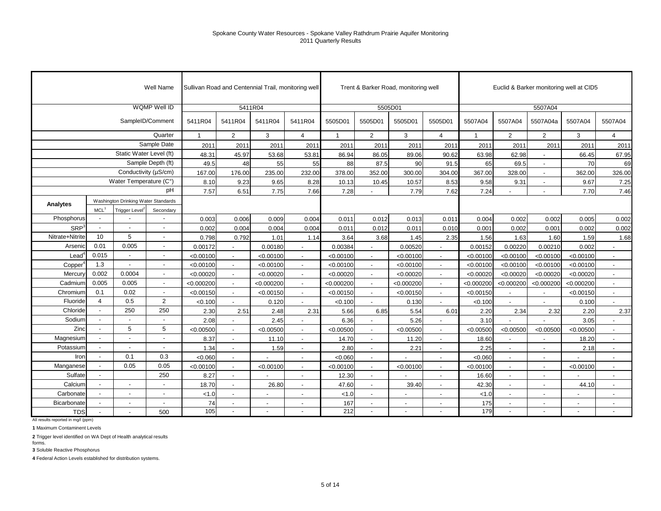|                     |                          |                                     | Well Name                |              |                          |            | Sullivan Road and Centennial Trail, monitoring well |             |                          | Trent & Barker Road, monitoring well |                          |                |                          | Euclid & Barker monitoring well at CID5 |                |                          |
|---------------------|--------------------------|-------------------------------------|--------------------------|--------------|--------------------------|------------|-----------------------------------------------------|-------------|--------------------------|--------------------------------------|--------------------------|----------------|--------------------------|-----------------------------------------|----------------|--------------------------|
|                     |                          |                                     | WQMP Well ID             |              |                          | 5411R04    |                                                     |             |                          | 5505D01                              |                          |                |                          | 5507A04                                 |                |                          |
|                     |                          |                                     | SampleID/Comment         | 5411R04      | 5411R04                  | 5411R04    | 5411R04                                             | 5505D01     | 5505D01                  | 5505D01                              | 5505D01                  | 5507A04        | 5507A04                  | 5507A04a                                | 5507A04        | 5507A04                  |
|                     |                          |                                     | Quarter                  | $\mathbf{1}$ | $\overline{2}$           | 3          | $\overline{4}$                                      | $\mathbf 1$ | $\overline{2}$           | 3                                    | $\overline{4}$           | $\overline{1}$ | $\overline{2}$           | $\overline{2}$                          | 3              | $\overline{4}$           |
|                     |                          |                                     | Sample Date              | 2011         | 2011                     | 2011       | 2011                                                | 2011        | 2011                     | 2011                                 | 2011                     | 2011           | 2011                     | 2011                                    | 2011           | 2011                     |
|                     |                          | Static Water Level (ft)             |                          | 48.31        | 45.97                    | 53.68      | 53.81                                               | 86.94       | 86.05                    | 89.06                                | 90.62                    | 63.98          | 62.98                    |                                         | 66.45          | 67.95                    |
|                     |                          |                                     | Sample Depth (ft)        | 49.5         | 48                       | 55         | 55                                                  | 88          | 87.5                     | 90                                   | 91.5                     | 65             | 69.5                     | $\blacksquare$                          | 70             | 69                       |
|                     |                          | Conductivity (µS/cm)                |                          | 167.00       | 176.00                   | 235.00     | 232.00                                              | 378.00      | 352.00                   | 300.00                               | 304.00                   | 367.00         | 328.00                   |                                         | 362.00         | 326.00                   |
|                     |                          | Water Temperature (C°)              |                          | 8.10         | 9.23                     | 9.65       | 8.28                                                | 10.13       | 10.45                    | 10.57                                | 8.53                     | 9.58           | 9.31                     |                                         | 9.67           | 7.25                     |
|                     |                          |                                     | pH                       | 7.57         | 6.51                     | 7.75       | 7.66                                                | 7.28        |                          | 7.79                                 | 7.62                     | 7.24           |                          |                                         | 7.70           | 7.46                     |
| <b>Analytes</b>     |                          | Washington Drinking Water Standards |                          |              |                          |            |                                                     |             |                          |                                      |                          |                |                          |                                         |                |                          |
|                     | MCL <sup>1</sup>         | <b>Trigger Level</b>                | Secondary                |              |                          |            |                                                     |             |                          |                                      |                          |                |                          |                                         |                |                          |
| Phosphorus          | $\blacksquare$           |                                     |                          | 0.003        | 0.006                    | 0.009      | 0.004                                               | 0.011       | 0.012                    | 0.013                                | 0.011                    | 0.004          | 0.002                    | 0.002                                   | 0.005          | 0.002                    |
| SRP <sup>3</sup>    | $\blacksquare$           |                                     |                          | 0.002        | 0.004                    | 0.004      | 0.004                                               | 0.011       | 0.012                    | 0.011                                | 0.010                    | 0.001          | 0.002                    | 0.001                                   | 0.002          | 0.002                    |
| Nitrate+Nitrite     | 10                       | 5                                   | $\blacksquare$           | 0.798        | 0.792                    | 1.01       | 1.14                                                | 3.64        | 3.68                     | 1.45                                 | 2.35                     | 1.56           | 1.63                     | 1.60                                    | 1.59           | 1.68                     |
| Arsenic             | 0.01                     | 0.005                               | $\overline{\phantom{a}}$ | 0.00172      |                          | 0.00180    |                                                     | 0.00384     |                          | 0.00520                              |                          | 0.00152        | 0.00220                  | 0.00210                                 | 0.002          |                          |
| $\textsf{lead}^4$   | 0.015                    | $\overline{a}$                      | $\blacksquare$           | < 0.00100    |                          | < 0.00100  |                                                     | < 0.00100   |                          | < 0.00100                            |                          | < 0.00100      | < 0.00100                | < 0.00100                               | < 0.00100      |                          |
| Copper <sup>4</sup> | 1.3                      |                                     | $\blacksquare$           | < 0.00100    |                          | < 0.00100  |                                                     | < 0.00100   |                          | < 0.00100                            |                          | < 0.00100      | < 0.00100                | < 0.00100                               | < 0.00100      |                          |
| Mercury             | 0.002                    | 0.0004                              | $\overline{\phantom{a}}$ | < 0.00020    |                          | < 0.00020  | $\overline{\phantom{a}}$                            | < 0.00020   | $\sim$                   | < 0.00020                            | $\sim$                   | < 0.00020      | < 0.00020                | < 0.00020                               | < 0.00020      | $\sim$                   |
| Cadmium             | 0.005                    | 0.005                               | $\blacksquare$           | < 0.000200   |                          | < 0.000200 |                                                     | < 0.000200  |                          | < 0.000200                           |                          | < 0.000200     | < 0.000200               | < 0.000200                              | < 0.000200     | $\sim$                   |
| Chromium            | 0.1                      | 0.02                                | $\blacksquare$           | < 0.00150    |                          | < 0.00150  |                                                     | < 0.00150   |                          | < 0.00150                            |                          | < 0.00150      | $\overline{a}$           |                                         | < 0.00150      | $\sim$                   |
| Fluoride            | $\overline{4}$           | 0.5                                 | $\overline{2}$           | < 0.100      |                          | 0.120      |                                                     | < 0.100     |                          | 0.130                                | $\blacksquare$           | < 0.100        |                          |                                         | 0.100          | $\mathbf{r}$             |
| Chloride            | $\overline{\phantom{a}}$ | 250                                 | 250                      | 2.30         | 2.51                     | 2.48       | 2.31                                                | 5.66        | 6.85                     | 5.54                                 | 6.01                     | 2.20           | 2.34                     | 2.32                                    | 2.20           | 2.37                     |
| Sodium              | $\blacksquare$           | $\overline{a}$                      | $\overline{\phantom{a}}$ | 2.08         |                          | 2.45       |                                                     | 6.36        | $\overline{\phantom{a}}$ | 5.26                                 | $\overline{a}$           | 3.10           |                          |                                         | 3.05           |                          |
| Zinc                | $\overline{\phantom{a}}$ | 5                                   | 5                        | < 0.00500    | $\overline{a}$           | < 0.00500  | $\overline{a}$                                      | < 0.00500   | $\sim$                   | < 0.00500                            | $\overline{a}$           | < 0.00500      | < 0.00500                | < 0.00500                               | < 0.00500      | $\overline{a}$           |
| Magnesium           | $\blacksquare$           | $\overline{a}$                      | $\overline{a}$           | 8.37         | $\overline{\phantom{a}}$ | 11.10      | $\overline{a}$                                      | 14.70       | $\sim$                   | 11.20                                | $\overline{\phantom{a}}$ | 18.60          | $\overline{a}$           |                                         | 18.20          | $\overline{a}$           |
| Potassium           | $\blacksquare$           | $\sim$                              | $\blacksquare$           | 1.34         | $\sim$                   | 1.59       |                                                     | 2.80        | $\sim$                   | 2.21                                 | $\overline{a}$           | 2.25           | ÷,                       |                                         | 2.18           | $\sim$                   |
| Iron                | $\blacksquare$           | 0.1                                 | 0.3                      | < 0.060      |                          |            | ÷,                                                  | < 0.060     | $\sim$                   |                                      |                          | < 0.060        | ÷,                       |                                         |                |                          |
| Manganese           | $\blacksquare$           | 0.05                                | 0.05                     | < 0.00100    |                          | < 0.00100  |                                                     | < 0.00100   | $\sim$                   | < 0.00100                            |                          | < 0.00100      | $\overline{\phantom{a}}$ |                                         | < 0.00100      | $\overline{a}$           |
| Sulfate             | $\blacksquare$           |                                     | 250                      | 8.27         | $\overline{\phantom{a}}$ |            | $\blacksquare$                                      | 12.30       | $\blacksquare$           |                                      | $\overline{\phantom{a}}$ | 16.60          | $\sim$                   | $\blacksquare$                          |                | $\overline{\phantom{a}}$ |
| Calcium             | $\blacksquare$           | $\blacksquare$                      |                          | 18.70        | $\sim$                   | 26.80      | $\overline{\phantom{a}}$                            | 47.60       | $\sim$                   | 39.40                                | $\overline{\phantom{a}}$ | 42.30          | $\sim$                   | $\overline{\phantom{a}}$                | 44.10          | $\overline{\phantom{a}}$ |
| Carbonate           | $\blacksquare$           | $\overline{\phantom{a}}$            | $\overline{\phantom{a}}$ | < 1.0        | $\overline{\phantom{a}}$ |            | $\blacksquare$                                      | < 1.0       | $\overline{\phantom{a}}$ | $\overline{\phantom{a}}$             | $\overline{\phantom{a}}$ | < 1.0          | $\blacksquare$           | $\blacksquare$                          | $\blacksquare$ | $\overline{\phantom{a}}$ |
| Bicarbonate         | $\overline{\phantom{a}}$ | $\blacksquare$                      | $\blacksquare$           | 74           | $\overline{\phantom{a}}$ | $\sim$     | $\blacksquare$                                      | 167         | $\sim$                   | $\overline{\phantom{a}}$             | $\overline{\phantom{a}}$ | 175            | $\sim$                   | $\overline{\phantom{a}}$                | $\blacksquare$ | $\overline{\phantom{a}}$ |
| <b>TDS</b>          | $\blacksquare$           |                                     | 500                      | 105          |                          |            |                                                     | 212         | $\sim$                   |                                      |                          | 179            | $\sim$                   |                                         |                |                          |

All results reported in mg/l (ppm)

**1** Maximum Contaminent Levels

**2** Trigger level identified on WA Dept of Health analytical results forms.

**3** Soluble Reactive Phosphorus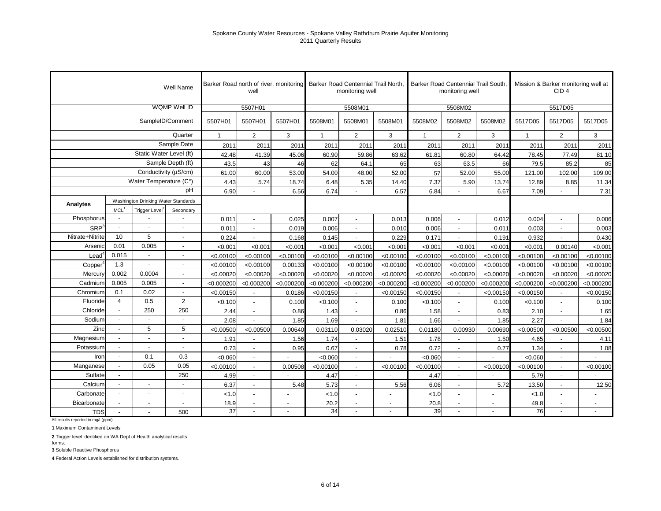|                  |                          |                                     | <b>Well Name</b>         |              | Barker Road north of river, monitoring<br>well |            |            | Barker Road Centennial Trail North.<br>monitoring well |                          |                | Barker Road Centennial Trail South.<br>monitoring well |            |             | Mission & Barker monitoring well at<br>CID <sub>4</sub> |                          |
|------------------|--------------------------|-------------------------------------|--------------------------|--------------|------------------------------------------------|------------|------------|--------------------------------------------------------|--------------------------|----------------|--------------------------------------------------------|------------|-------------|---------------------------------------------------------|--------------------------|
|                  |                          |                                     | WQMP Well ID             |              | 5507H01                                        |            |            | 5508M01                                                |                          |                | 5508M02                                                |            |             | 5517D05                                                 |                          |
|                  |                          |                                     | SampleID/Comment         | 5507H01      | 5507H01                                        | 5507H01    | 5508M01    | 5508M01                                                | 5508M01                  | 5508M02        | 5508M02                                                | 5508M02    | 5517D05     | 5517D05                                                 | 5517D05                  |
|                  |                          |                                     | Quarter                  | $\mathbf{1}$ | 2                                              | 3          | -1         | $\overline{2}$                                         | 3                        | $\overline{1}$ | $\overline{2}$                                         | 3          | $\mathbf 1$ | $\overline{2}$                                          | 3                        |
|                  |                          |                                     | Sample Date              | 2011         | 2011                                           | 2011       | 2011       | 2011                                                   | 2011                     | 2011           | 2011                                                   | 2011       | 2011        | 2011                                                    | 2011                     |
|                  |                          | Static Water Level (ft)             |                          | 42.48        | 41.39                                          | 45.06      | 60.90      | 59.86                                                  | 63.62                    | 61.81          | 60.80                                                  | 64.42      | 78.45       | 77.49                                                   | 81.10                    |
|                  |                          |                                     | Sample Depth (ft)        | 43.5         | 43                                             | 46         | 62         | 64.1                                                   | 65                       | 63             | 63.5                                                   | 66         | 79.5        | 85.2                                                    | 85                       |
|                  |                          |                                     | Conductivity (µS/cm)     | 61.00        | 60.00                                          | 53.00      | 54.00      | 48.00                                                  | 52.00                    | 57             | 52.00                                                  | 55.00      | 121.00      | 102.00                                                  | 109.00                   |
|                  |                          | Water Temperature (C°)              |                          | 4.43         | 5.74                                           | 18.74      | 6.48       | 5.35                                                   | 14.40                    | 7.37           | 5.90                                                   | 13.74      | 12.89       | 8.85                                                    | 11.34                    |
|                  |                          |                                     | pH                       | 6.90         |                                                | 6.56       | 6.74       |                                                        | 6.57                     | 6.84           |                                                        | 6.67       | 7.09        |                                                         | 7.31                     |
| Analytes         |                          | Washington Drinking Water Standards |                          |              |                                                |            |            |                                                        |                          |                |                                                        |            |             |                                                         |                          |
|                  | MCL <sup>1</sup>         | Trigger Level <sup>2</sup>          | Secondary                |              |                                                |            |            |                                                        |                          |                |                                                        |            |             |                                                         |                          |
| Phosphorus       | $\blacksquare$           |                                     |                          | 0.011        | $\sim$                                         | 0.025      | 0.007      | $\blacksquare$                                         | 0.013                    | 0.006          | $\blacksquare$                                         | 0.012      | 0.004       | $\blacksquare$                                          | 0.006                    |
| SRP <sup>3</sup> | $\blacksquare$           | $\blacksquare$                      | $\overline{\phantom{a}}$ | 0.011        |                                                | 0.019      | 0.006      |                                                        | 0.010                    | 0.006          |                                                        | 0.011      | 0.003       |                                                         | 0.003                    |
| Nitrate+Nitrite  | 10                       | 5                                   | $\overline{a}$           | 0.224        |                                                | 0.168      | 0.145      | $\overline{a}$                                         | 0.229                    | 0.171          | $\overline{a}$                                         | 0.191      | 0.932       | $\overline{a}$                                          | 0.430                    |
| Arsenic          | 0.01                     | 0.005                               | $\overline{a}$           | < 0.001      | < 0.001                                        | < 0.001    | < 0.001    | < 0.001                                                | < 0.001                  | < 0.001        | < 0.001                                                | < 0.001    | < 0.001     | 0.00140                                                 | < 0.001                  |
| Lead             | 0.015                    | $\overline{a}$                      | $\overline{a}$           | < 0.00100    | < 0.00100                                      | < 0.00100  | < 0.00100  | < 0.00100                                              | < 0.00100                | < 0.00100      | < 0.00100                                              | < 0.00100  | < 0.00100   | < 0.00100                                               | < 0.00100                |
| Copper           | 1.3                      | $\overline{a}$                      | $\overline{a}$           | < 0.00100    | < 0.00100                                      | 0.00133    | < 0.00100  | < 0.00100                                              | < 0.00100                | < 0.00100      | < 0.00100                                              | < 0.00100  | < 0.00100   | < 0.00100                                               | < 0.00100                |
| Mercury          | 0.002                    | 0.0004                              | $\overline{a}$           | < 0.00020    | < 0.00020                                      | < 0.00020  | < 0.00020  | < 0.00020                                              | < 0.00020                | < 0.00020      | < 0.00020                                              | < 0.00020  | < 0.00020   | < 0.00020                                               | < 0.00020                |
| Cadmium          | 0.005                    | 0.005                               | ÷,                       | < 0.000200   | < 0.000200                                     | < 0.000200 | < 0.000200 | < 0.000200                                             | < 0.000200               | < 0.000200     | < 0.000200                                             | < 0.000200 | < 0.000200  | < 0.000200                                              | < 0.000200               |
| Chromium         | 0.1                      | 0.02                                | $\overline{a}$           | < 0.00150    |                                                | 0.0186     | < 0.00150  | $\overline{\phantom{a}}$                               | < 0.00150                | < 0.00150      | $\blacksquare$                                         | < 0.00150  | < 0.00150   | $\overline{\phantom{a}}$                                | < 0.00150                |
| Fluoride         | $\overline{4}$           | 0.5                                 | 2                        | < 0.100      | $\sim$                                         | 0.100      | < 0.100    | $\overline{a}$                                         | 0.100                    | < 0.100        | $\overline{\phantom{a}}$                               | 0.100      | < 0.100     | $\overline{a}$                                          | 0.100                    |
| Chloride         | $\overline{\phantom{a}}$ | 250                                 | 250                      | 2.44         | $\sim$                                         | 0.86       | 1.43       | $\overline{\phantom{a}}$                               | 0.86                     | 1.58           | $\blacksquare$                                         | 0.83       | 2.10        | $\overline{a}$                                          | 1.65                     |
| Sodium           | $\overline{\phantom{a}}$ | $\overline{a}$                      | $\overline{a}$           | 2.08         |                                                | 1.85       | 1.69       | $\overline{\phantom{a}}$                               | 1.81                     | 1.66           | $\overline{a}$                                         | 1.85       | 2.27        |                                                         | 1.84                     |
| Zinc             | $\overline{\phantom{a}}$ | 5                                   | 5                        | < 0.00500    | < 0.00500                                      | 0.00640    | 0.03110    | 0.03020                                                | 0.02510                  | 0.01180        | 0.00930                                                | 0.00690    | < 0.00500   | < 0.00500                                               | < 0.00500                |
| Magnesium        |                          | $\overline{a}$                      | $\overline{a}$           | 1.91         |                                                | 1.56       | 1.74       | $\overline{\phantom{a}}$                               | 1.51                     | 1.78           | $\blacksquare$                                         | 1.50       | 4.65        | $\overline{\phantom{a}}$                                | 4.11                     |
| Potassium        | $\overline{\phantom{a}}$ | $\overline{\phantom{a}}$            |                          | 0.73         | $\sim$                                         | 0.95       | 0.67       | $\overline{\phantom{a}}$                               | 0.78                     | 0.72           | $\blacksquare$                                         | 0.77       | 1.34        | $\blacksquare$                                          | 1.08                     |
| Iron             | $\overline{\phantom{a}}$ | 0.1                                 | 0.3                      | < 0.060      | $\sim$                                         |            | < 0.060    | $\overline{a}$                                         |                          | < 0.060        | $\blacksquare$                                         |            | < 0.060     | $\blacksquare$                                          |                          |
| Manganese        |                          | 0.05                                | 0.05                     | < 0.00100    | $\overline{a}$                                 | 0.00508    | < 0.00100  | $\overline{\phantom{a}}$                               | < 0.00100                | < 0.00100      | $\sim$                                                 | < 0.00100  | < 0.00100   | $\overline{\phantom{a}}$                                | < 0.00100                |
| Sulfate          | $\overline{\phantom{a}}$ |                                     | 250                      | 4.99         | $\overline{a}$                                 |            | 4.47       | $\sim$                                                 |                          | 4.47           | $\overline{\phantom{a}}$                               |            | 5.79        | $\blacksquare$                                          |                          |
| Calcium          | $\blacksquare$           | $\blacksquare$                      | ÷,                       | 6.37         | $\overline{a}$                                 | 5.48       | 5.73       | $\overline{\phantom{a}}$                               | 5.56                     | 6.06           | $\sim$                                                 | 5.72       | 13.50       | $\overline{\phantom{a}}$                                | 12.50                    |
| Carbonate        |                          | $\sim$                              | $\overline{\phantom{a}}$ | < 1.0        | $\sim$                                         |            | < 1.0      | $\overline{\phantom{a}}$                               | $\blacksquare$           | < 1.0          | $\overline{\phantom{a}}$                               |            | < 1.0       | $\blacksquare$                                          | $\overline{\phantom{a}}$ |
| Bicarbonate      | $\blacksquare$           | $\blacksquare$                      | $\overline{\phantom{a}}$ | 18.9         |                                                |            | 20.2       | $\overline{\phantom{a}}$                               | $\overline{\phantom{a}}$ | 20.8           | $\overline{\phantom{a}}$                               |            | 49.8        | $\blacksquare$                                          | $\blacksquare$           |
| <b>TDS</b>       |                          |                                     | 500                      | 37           |                                                |            | 34         | $\sim$                                                 |                          | 39             |                                                        |            | 76          | $\sim$                                                  |                          |

All results reported in mg/l (ppm)

**1** Maximum Contaminent Levels

**2** Trigger level identified on WA Dept of Health analytical results forms.

**3** Soluble Reactive Phosphorus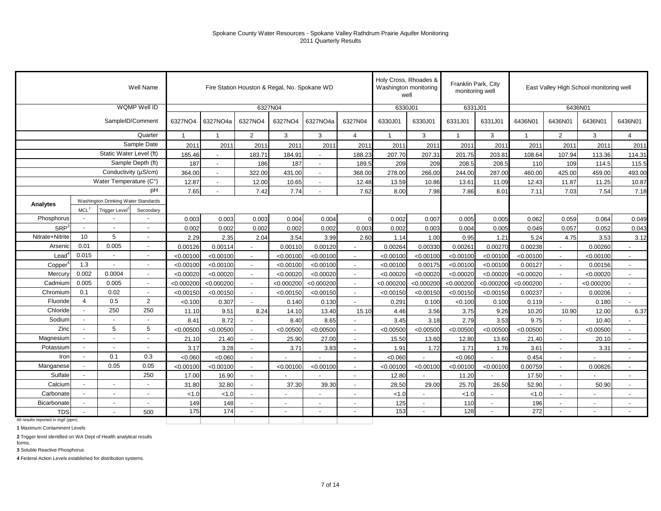|                                    |                          |                                     | Well Name                |              |                          | Fire Station Houston & Regal, No. Spokane WD |            |                          |                          | Holy Cross, Rhoades &<br>Washington monitoring<br>well |                          | Franklin Park, City<br>monitoring well |            |              | East Valley High School monitoring well |            |                          |
|------------------------------------|--------------------------|-------------------------------------|--------------------------|--------------|--------------------------|----------------------------------------------|------------|--------------------------|--------------------------|--------------------------------------------------------|--------------------------|----------------------------------------|------------|--------------|-----------------------------------------|------------|--------------------------|
|                                    |                          |                                     | WQMP Well ID             |              |                          | 6327N04                                      |            |                          |                          | 6330J01                                                |                          | 6331J01                                |            |              | 6436N01                                 |            |                          |
|                                    |                          |                                     | SampleID/Comment         | 6327NO4      | 6327NO4a                 | 6327NO4                                      | 6327NO4    | 6327NO4a                 | 6327N04                  | 6330J01                                                | 6330J01                  | 6331J01                                | 6331J01    | 6436N01      | 6436N01                                 | 6436N01    | 6436N01                  |
|                                    |                          |                                     | Quarter                  | $\mathbf{1}$ | $\mathbf{1}$             | $\overline{2}$                               | 3          | 3                        | $\overline{4}$           | $\overline{1}$                                         | 3                        | $\overline{1}$                         | 3          | $\mathbf{1}$ | $\overline{2}$                          | 3          | $\overline{4}$           |
|                                    |                          |                                     | Sample Date              | 2011         | 2011                     | 2011                                         | 2011       | 2011                     | 201'                     | 2011                                                   | 2011                     | 2011                                   | 201        | 2011         | 2011                                    | 2011       | 201                      |
|                                    |                          | Static Water Level (ft)             |                          | 185.46       |                          | 183.71                                       | 184.91     |                          | 188.23                   | 207.70                                                 | 207.31                   | 201.75                                 | 203.81     | 108.64       | 107.94                                  | 113.36     | 114.31                   |
|                                    |                          |                                     | Sample Depth (ft)        | 187          | $\overline{\phantom{a}}$ | 186                                          | 187        | $\overline{\phantom{a}}$ | 189.5                    | 209                                                    | 209                      | 208.5                                  | 208.5      | 110          | 109                                     | 114.5      | 115.5                    |
|                                    |                          | Conductivity (µS/cm)                |                          | 364.00       |                          | 322.00                                       | 431.00     |                          | 368.00                   | 278.00                                                 | 266.00                   | 244.00                                 | 287.00     | 460.00       | 425.00                                  | 459.00     | 493.00                   |
|                                    |                          | Water Temperature (C°)              |                          | 12.87        | $\overline{\phantom{a}}$ | 12.00                                        | 10.65      | $\sim$                   | 12.48                    | 13.59                                                  | 10.86                    | 13.61                                  | 11.09      | 12.43        | 11.87                                   | 11.25      | 10.87                    |
|                                    |                          |                                     | pH                       | 7.65         | $\overline{\phantom{a}}$ | 7.42                                         | 7.74       | $\blacksquare$           | 7.62                     | 8.00                                                   | 7.98                     | 7.86                                   | 8.01       | 7.11         | 7.03                                    | 7.54       | 7.18                     |
| Analytes                           |                          | Washington Drinking Water Standards |                          |              |                          |                                              |            |                          |                          |                                                        |                          |                                        |            |              |                                         |            |                          |
|                                    | MCL <sup>1</sup>         | <b>Trigger Level</b>                | Secondary                |              |                          |                                              |            |                          |                          |                                                        |                          |                                        |            |              |                                         |            |                          |
| Phosphorus                         | $\sim$                   |                                     | $\blacksquare$           | 0.003        | 0.003                    | 0.003                                        | 0.004      | 0.004                    |                          | 0.002                                                  | 0.007                    | 0.005                                  | 0.005      | 0.062        | 0.059                                   | 0.064      | 0.049                    |
| <b>SRP</b>                         | $\overline{\phantom{a}}$ | $\overline{\phantom{a}}$            | $\overline{\phantom{a}}$ | 0.002        | 0.002                    | 0.002                                        | 0.002      | 0.002                    | 0.003                    | 0.002                                                  | 0.003                    | 0.004                                  | 0.005      | 0.049        | 0.057                                   | 0.052      | 0.043                    |
| Nitrate+Nitrite                    | 10                       | 5                                   | $\overline{\phantom{a}}$ | 2.29         | 2.35                     | 2.04                                         | 3.54       | 3.99                     | 2.60                     | 1.14                                                   | 1.00                     | 0.95                                   | 1.21       | 5.24         | 4.75                                    | 3.53       | 3.12                     |
| Arsenic                            | 0.01                     | 0.005                               | $\overline{\phantom{a}}$ | 0.00126      | 0.00114                  | $\blacksquare$                               | 0.00110    | 0.00120                  |                          | 0.00264                                                | 0.00330                  | 0.00261                                | 0.00270    | 0.00238      |                                         | 0.00260    |                          |
| Lead                               | 0.015                    |                                     | $\overline{\phantom{a}}$ | < 0.00100    | < 0.00100                | $\sim$                                       | < 0.00100  | < 0.00100                | $\overline{\phantom{a}}$ | < 0.00100                                              | < 0.00100                | < 0.00100                              | < 0.00100  | < 0.00100    | $\overline{\phantom{a}}$                | < 0.00100  | $\blacksquare$           |
| Copper                             | 1.3                      |                                     | $\blacksquare$           | < 0.00100    | < 0.00100                | $\overline{\phantom{a}}$                     | < 0.00100  | < 0.00100                |                          | < 0.00100                                              | 0.00175                  | < 0.00100                              | < 0.00100  | 0.00127      | $\overline{\phantom{a}}$                | 0.00156    | $\blacksquare$           |
| Mercury                            | 0.002                    | 0.0004                              |                          | < 0.00020    | < 0.00020                |                                              | < 0.00020  | < 0.00020                |                          | < 0.00020                                              | < 0.00020                | < 0.00020                              | < 0.00020  | < 0.00020    |                                         | < 0.00020  |                          |
| Cadmium                            | 0.005                    | 0.005                               | $\overline{\phantom{a}}$ | < 0.000200   | < 0.000200               |                                              | < 0.000200 | < 0.000200               |                          | < 0.000200                                             | < 0.000200               | < 0.000200                             | < 0.000200 | < 0.000200   |                                         | < 0.000200 | $\blacksquare$           |
| Chromium                           | 0.1                      | 0.02                                | $\overline{\phantom{a}}$ | < 0.00150    | < 0.00150                |                                              | < 0.00150  | < 0.00150                |                          | < 0.00150                                              | < 0.00150                | < 0.00150                              | < 0.00150  | 0.00237      |                                         | 0.00206    | $\overline{\phantom{a}}$ |
| Fluoride                           | $\overline{4}$           | 0.5                                 | 2                        | < 0.100      | 0.307                    | $\overline{a}$                               | 0.140      | 0.130                    |                          | 0.291                                                  | 0.100                    | < 0.100                                | 0.100      | 0.119        | $\overline{a}$                          | 0.180      |                          |
| Chloride                           | $\sim$                   | 250                                 | 250                      | 11.10        | 9.51                     | 8.24                                         | 14.10      | 13.40                    | 15.10                    | 4.46                                                   | 3.56                     | 3.75                                   | 9.26       | 10.20        | 10.90                                   | 12.00      | 6.37                     |
| Sodium                             |                          |                                     |                          | 8.41         | 8.72                     |                                              | 8.40       | 8.65                     |                          | 3.45                                                   | 3.18                     | 2.79                                   | 3.53       | 9.75         |                                         | 10.40      |                          |
| Zinc                               |                          | 5                                   | 5                        | < 0.00500    | < 0.00500                | $\overline{\phantom{a}}$                     | < 0.00500  | < 0.00500                | $\overline{\phantom{a}}$ | < 0.00500                                              | < 0.00500                | < 0.00500                              | < 0.00500  | < 0.00500    | $\overline{\phantom{a}}$                | < 0.00500  | $\blacksquare$           |
| Magnesium                          |                          |                                     | $\blacksquare$           | 21.10        | 21.40                    | $\overline{\phantom{a}}$                     | 25.90      | 27.00                    | $\overline{\phantom{a}}$ | 15.50                                                  | 13.60                    | 12.80                                  | 13.60      | 21.40        | $\overline{\phantom{a}}$                | 20.10      | $\overline{\phantom{a}}$ |
| Potassium                          |                          |                                     |                          | 3.17         | 3.28                     | $\overline{\phantom{a}}$                     | 3.71       | 3.83                     |                          | 1.91                                                   | 1.72                     | 1.71                                   | 1.76       | 3.61         | $\sim$                                  | 3.31       |                          |
| Iron                               | $\overline{a}$           | 0.1                                 | 0.3                      | < 0.060      | < 0.060                  | $\sim$                                       |            |                          |                          | < 0.060                                                |                          | < 0.060                                |            | 0.454        | $\overline{\phantom{a}}$                |            |                          |
| Manganese                          | $\sim$                   | 0.05                                | 0.05                     | < 0.00100    | < 0.00100                | $\sim$                                       | < 0.00100  | < 0.00100                |                          | < 0.00100                                              | < 0.00100                | < 0.00100                              | < 0.00100  | 0.00759      | $\sim$                                  | 0.00826    | $\blacksquare$           |
| Sulfate                            | $\sim$                   |                                     | 250                      | 17.00        | 16.90                    | $\overline{\phantom{a}}$                     |            |                          |                          | 12.80                                                  |                          | 11.20                                  |            | 17.50        | $\overline{\phantom{a}}$                |            | $\blacksquare$           |
| Calcium                            | $\overline{a}$           |                                     |                          | 31.80        | 32.80                    | $\sim$                                       | 37.30      | 39.30                    |                          | 28.50                                                  | 29.00                    | 25.70                                  | 26.50      | 52.90        | $\blacksquare$                          | 50.90      | $\overline{\phantom{a}}$ |
| Carbonate                          | $\sim$<br>÷,             |                                     |                          | 1.0          | < 1.0                    | $\sim$                                       |            | $\overline{a}$           |                          | < 1.0                                                  |                          | < 1.0                                  |            | < 1.0        | $\sim$                                  |            | $\sim$                   |
| Bicarbonate                        | $\sim$<br>$\blacksquare$ |                                     |                          | 149          | 148                      | $\overline{a}$                               |            | $\blacksquare$           |                          | 125                                                    | $\overline{\phantom{a}}$ | 110                                    | $\sim$     | 196          | $\overline{\phantom{a}}$                |            | $\overline{a}$           |
| <b>TDS</b>                         |                          |                                     | 500                      | 175          | 174                      |                                              |            |                          |                          | 153                                                    | $\overline{a}$           | 128                                    |            | 272          |                                         |            |                          |
| All results reported in mg/l (ppm) |                          |                                     |                          |              |                          |                                              |            |                          |                          |                                                        |                          |                                        |            |              |                                         |            |                          |

**1** Maximum Contaminent Levels

**2** Trigger level identified on WA Dept of Health analytical results

**3** Soluble Reactive Phosphorus forms.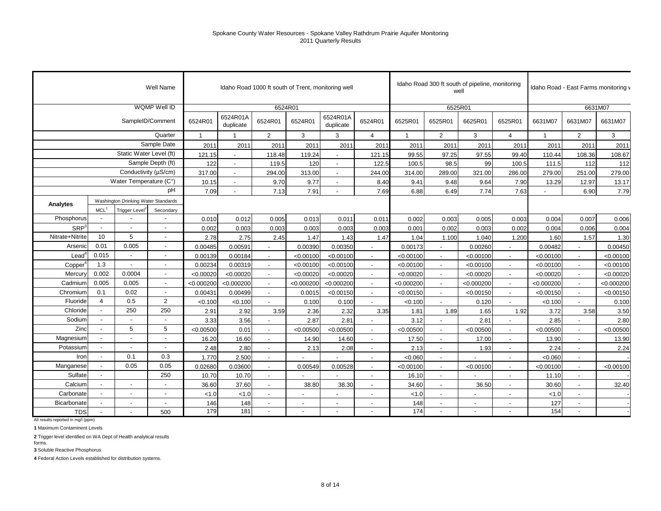|                  |                          |                                     | Well Name                |                |                          | Idaho Road 1000 ft south of Trent, monitoring well |                          |                       |                          |              | Idaho Road 300 ft south of pipeline, monitoring | well                     |                          |                | Idaho Road - East Farms monitoring v |            |
|------------------|--------------------------|-------------------------------------|--------------------------|----------------|--------------------------|----------------------------------------------------|--------------------------|-----------------------|--------------------------|--------------|-------------------------------------------------|--------------------------|--------------------------|----------------|--------------------------------------|------------|
|                  |                          |                                     | WQMP Well ID             |                |                          | 6524R01                                            |                          |                       |                          |              |                                                 | 6525R01                  |                          |                |                                      | 6631M07    |
|                  |                          |                                     | SampleID/Comment         | 6524R01        | 6524R01A<br>duplicate    | 6524R01                                            | 6524R01                  | 6524R01A<br>duplicate | 6524R01                  | 6525R01      | 6525R01                                         | 6625R01                  | 6525R01                  | 6631M07        | 6631M07                              | 6631M07    |
|                  |                          |                                     | Quarter                  | $\overline{1}$ |                          | $\overline{2}$                                     | 3                        | 3                     | $\overline{4}$           | $\mathbf{1}$ | 2                                               | 3                        | $\overline{4}$           | $\overline{1}$ | $\overline{2}$                       | 3          |
|                  |                          |                                     | Sample Date              | 2011           | 2011                     | 2011                                               | 2011                     | 2011                  | 2011                     | 2011         | 2011                                            | 2011                     | 2011                     | 201'           | 2011                                 | 2011       |
|                  |                          | Static Water Level (ft)             |                          | 121.15         |                          | 118.48                                             | 119.24                   | $\blacksquare$        | 121.15                   | 99.55        | 97.25                                           | 97.55                    | 99.40                    | 110.44         | 108.36                               | 108.67     |
|                  |                          |                                     | Sample Depth (ft)        | 122            | $\blacksquare$           | 119.5                                              | 120                      | $\sim$                | 122.5                    | 100.5        | 98.5                                            | 99                       | 100.5                    | 111.5          | 112                                  | 112        |
|                  |                          | Conductivity (µS/cm)                |                          | 317.00         | $\overline{\phantom{a}}$ | 294.00                                             | 313.00                   |                       | 244.00                   | 314.00       | 289.00                                          | 321.00                   | 286.00                   | 279.00         | 251.00                               | 279.00     |
|                  |                          | Water Temperature (C°)              |                          | 10.15          | $\overline{\phantom{a}}$ | 9.70                                               | 9.77                     | $\sim$                | 8.40                     | 9.41         | 9.48                                            | 9.64                     | 7.90                     | 13.29          | 12.97                                | 13.17      |
|                  |                          |                                     | рH                       | 7.09           |                          | 7.13                                               | 7.91                     |                       | 7.69                     | 6.88         | 6.49                                            | 7.74                     | 7.63                     |                | 6.90                                 | 7.79       |
| <b>Analytes</b>  |                          | Washington Drinking Water Standards |                          |                |                          |                                                    |                          |                       |                          |              |                                                 |                          |                          |                |                                      |            |
|                  | MCL <sup>1</sup>         | Trigger Level                       | Secondary                |                |                          |                                                    |                          |                       |                          |              |                                                 |                          |                          |                |                                      |            |
| Phosphorus       | $\overline{\phantom{a}}$ |                                     |                          | 0.010          | 0.012                    | 0.005                                              | 0.013                    | 0.011                 | 0.011                    | 0.002        | 0.003                                           | 0.005                    | 0.003                    | 0.004          | 0.007                                | 0.006      |
| SRP <sup>3</sup> | $\blacksquare$           |                                     |                          | 0.002          | 0.003                    | 0.003                                              | 0.003                    | 0.003                 | 0.003                    | 0.001        | 0.002                                           | 0.003                    | 0.002                    | 0.004          | 0.006                                | 0.004      |
| Nitrate+Nitrite  | 10                       | 5                                   |                          | 2.78           | 2.75                     | 2.45                                               | 1.47                     | 1.43                  | 1.47                     | 1.04         | 1.100                                           | 1.040                    | 1.200                    | 1.60           | 1.57                                 | 1.30       |
| Arsenic          | 0.01                     | 0.005                               | $\overline{\phantom{a}}$ | 0.00485        | 0.00591                  |                                                    | 0.00390                  | 0.00350               |                          | 0.00173      |                                                 | 0.00260                  |                          | 0.00482        |                                      | 0.00450    |
| Leadʻ            | 0.015                    | $\blacksquare$                      | $\overline{a}$           | 0.00139        | 0.00184                  | $\overline{a}$                                     | < 0.00100                | < 0.00100             |                          | < 0.00100    | $\sim$                                          | < 0.00100                |                          | < 0.00100      |                                      | < 0.00100  |
| Copper           | 1.3                      | $\sim$                              | $\overline{\phantom{a}}$ | 0.00234        | 0.00319                  |                                                    | < 0.00100                | < 0.00100             |                          | < 0.00100    | $\blacksquare$                                  | < 0.00100                |                          | < 0.00100      |                                      | < 0.00100  |
| Mercury          | 0.002                    | 0.0004                              | $\blacksquare$           | < 0.00020      | < 0.00020                | $\overline{\phantom{a}}$                           | < 0.00020                | < 0.00020             |                          | < 0.00020    | $\sim$                                          | < 0.00020                |                          | < 0.00020      |                                      | < 0.00020  |
| Cadmium          | 0.005                    | 0.005                               | $\overline{a}$           | < 0.000200     | < 0.000200               | $\overline{a}$                                     | < 0.000200               | < 0.000200            |                          | < 0.000200   | $\sim$                                          | < 0.000200               |                          | < 0.000200     |                                      | < 0.000200 |
| Chromium         | 0.1                      | 0.02                                | $\overline{\phantom{a}}$ | 0.00431        | 0.00499                  | $\overline{a}$                                     | 0.0015                   | < 0.00150             | $\sim$                   | < 0.00150    | $\sim$                                          | < 0.00150                |                          | < 0.00150      |                                      | < 0.00150  |
| Fluoride         | $\overline{4}$           | 0.5                                 | $\overline{2}$           | < 0.100        | < 0.100                  | $\overline{a}$                                     | 0.100                    | 0.100                 | $\overline{a}$           | < 0.100      | $\overline{a}$                                  | 0.120                    |                          | < 0.100        |                                      | 0.100      |
| Chloride         | $\sim$                   | 250                                 | 250                      | 2.91           | 2.92                     | 3.59                                               | 2.36                     | 2.32                  | 3.35                     | 1.81         | 1.89                                            | 1.65                     | 1.92                     | 3.72           | 3.58                                 | 3.50       |
| Sodium           | $\sim$                   | $\overline{a}$                      | $\overline{a}$           | 3.33           | 3.56                     |                                                    | 2.87                     | 2.81                  | $\overline{a}$           | 3.12         |                                                 | 2.81                     |                          | 2.85           |                                      | 2.80       |
| Zinc             | $\sim$                   | 5                                   | 5                        | < 0.00500      | 0.01                     | $\sim$                                             | < 0.00500                | < 0.00500             | $\sim$                   | < 0.00500    | $\sim$                                          | < 0.00500                | $\sim$                   | < 0.00500      | $\overline{\phantom{a}}$             | < 0.00500  |
| Magnesium        |                          | $\overline{\phantom{a}}$            | $\overline{a}$           | 16.20          | 16.60                    | $\blacksquare$                                     | 14.90                    | 14.60                 | $\sim$                   | 17.50        | $\sim$                                          | 17.00                    | $\overline{\phantom{a}}$ | 13.90          | $\overline{\phantom{a}}$             | 13.90      |
| Potassium        | $\overline{\phantom{a}}$ | $\overline{\phantom{a}}$            | $\blacksquare$           | 2.48           | 2.80                     | $\sim$                                             | 2.13                     | 2.08                  | $\sim$                   | 2.13         | $\sim$                                          | 1.93                     | $\overline{\phantom{a}}$ | 2.24           | $\sim$                               | 2.24       |
| Iron             | $\sim$                   | 0.1                                 | 0.3                      | 1.770          | 2.500                    | $\overline{a}$                                     |                          |                       | $\overline{a}$           | < 0.060      | $\sim$                                          |                          |                          | < 0.060        | $\overline{a}$                       |            |
| Manganese        |                          | 0.05                                | 0.05                     | 0.02680        | 0.03600                  | $\sim$                                             | 0.00549                  | 0.00528               | $\sim$                   | < 0.00100    | $\sim$                                          | < 0.00100                | $\overline{\phantom{a}}$ | < 0.00100      | $\overline{\phantom{a}}$             | < 0.00100  |
| Sulfate          | $\overline{\phantom{a}}$ |                                     | 250                      | 10.70          | 10.70                    | $\blacksquare$                                     |                          |                       | $\overline{\phantom{a}}$ | 16.10        | $\sim$                                          |                          | $\overline{\phantom{a}}$ | 11.10          | $\overline{\phantom{a}}$             |            |
| Calcium          |                          |                                     |                          | 36.60          | 37.60                    | $\overline{\phantom{a}}$                           | 38.80                    | 38.30                 | $\overline{\phantom{a}}$ | 34.60        | $\overline{\phantom{a}}$                        | 36.50                    |                          | 30.60          | $\overline{\phantom{a}}$             | 32.40      |
| Carbonate        | $\sim$                   | $\blacksquare$                      |                          | < 1.0          | < 1.0                    | $\blacksquare$                                     | $\overline{a}$           |                       | $\blacksquare$           | < 1.0        | $\blacksquare$                                  | $\overline{\phantom{a}}$ |                          | < 1.0          | $\sim$                               |            |
| Bicarbonate      |                          |                                     |                          | 146            | 148                      | $\blacksquare$                                     | $\overline{\phantom{a}}$ |                       | $\blacksquare$           | 148          | $\overline{\phantom{a}}$                        | $\blacksquare$           |                          | 127            |                                      |            |
| <b>TDS</b>       | $\overline{\phantom{a}}$ |                                     | 500                      | 179            | 181                      | $\sim$                                             |                          |                       |                          | 174          | $\sim$                                          |                          |                          | 154            |                                      |            |

All results reported in mg/l (ppm)

**1** Maximum Contaminent Levels

**2** Trigger level identified on WA Dept of Health analytical results forms.

**3** Soluble Reactive Phosphorus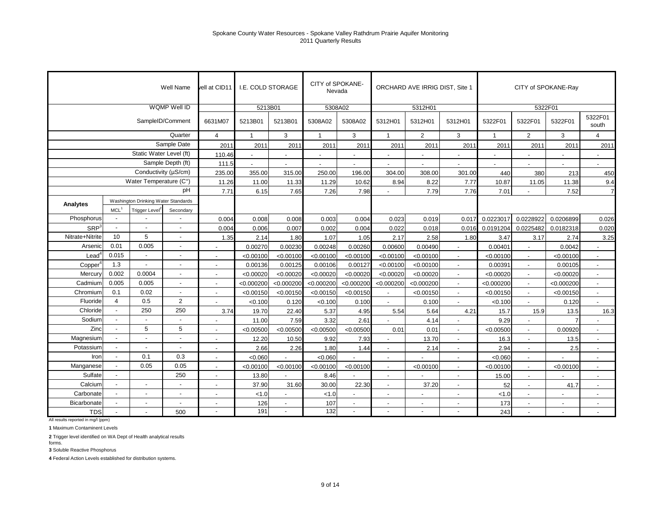|                     |                  |                                     | Well Name                | vell at CID11            | <b>I.E. COLD STORAGE</b> |                          | CITY of SPOKANE-<br>Nevada |                          |                          | ORCHARD AVE IRRIG DIST, Site 1 |                          |                |                          | CITY of SPOKANE-Ray      |                  |
|---------------------|------------------|-------------------------------------|--------------------------|--------------------------|--------------------------|--------------------------|----------------------------|--------------------------|--------------------------|--------------------------------|--------------------------|----------------|--------------------------|--------------------------|------------------|
|                     |                  |                                     | WQMP Well ID             |                          | 5213B01                  |                          | 5308A02                    |                          |                          | 5312H01                        |                          |                |                          | 5322F01                  |                  |
|                     |                  |                                     | SampleID/Comment         | 6631M07                  | 5213B01                  | 5213B01                  | 5308A02                    | 5308A02                  | 5312H01                  | 5312H01                        | 5312H01                  | 5322F01        | 5322F01                  | 5322F01                  | 5322F01<br>south |
|                     |                  |                                     | Quarter                  | $\overline{4}$           | $\mathbf{1}$             | 3                        | $\overline{1}$             | 3                        | $\overline{1}$           | $\overline{2}$                 | 3                        | $\overline{1}$ | $\overline{2}$           | 3                        | $\overline{4}$   |
|                     |                  |                                     | Sample Date              | 2011                     | 2011                     | 2011                     | 2011                       | 2011                     | 2011                     | 2011                           | 2011                     | 2011           | 2011                     | 2011                     | 2011             |
|                     |                  | Static Water Level (ft)             |                          | 110.46                   |                          | $\overline{\phantom{a}}$ |                            | $\overline{\phantom{a}}$ |                          | $\overline{\phantom{a}}$       |                          |                |                          |                          |                  |
|                     |                  |                                     | Sample Depth (ft)        | 111.5                    |                          |                          |                            |                          |                          |                                |                          |                |                          |                          |                  |
|                     |                  |                                     | Conductivity (µS/cm)     | 235.00                   | 355.00                   | 315.00                   | 250.00                     | 196.00                   | 304.00                   | 308.00                         | 301.00                   | 440            | 380                      | 213                      | 450              |
|                     |                  | Water Temperature (C°)              |                          | 11.26                    | 11.00                    | 11.33                    | 11.29                      | 10.62                    | 8.94                     | 8.22                           | 7.77                     | 10.87          | 11.05                    | 11.38                    | 9.4              |
|                     |                  |                                     | рH                       | 7.71                     | 6.15                     | 7.65                     | 7.26                       | 7.98                     |                          | 7.79                           | 7.76                     | 7.01           |                          | 7.52                     | $\overline{7}$   |
| Analytes            |                  | Washington Drinking Water Standards |                          |                          |                          |                          |                            |                          |                          |                                |                          |                |                          |                          |                  |
|                     | MCL <sup>1</sup> | Trigger Level <sup>2</sup>          | Secondary                |                          |                          |                          |                            |                          |                          |                                |                          |                |                          |                          |                  |
| Phosphorus          | $\blacksquare$   |                                     | $\overline{a}$           | 0.004                    | 0.008                    | 0.008                    | 0.003                      | 0.004                    | 0.023                    | 0.019                          | 0.017                    | 0.0223017      | 0.0228922                | 0.0206899                | 0.026            |
| SRP <sup>3</sup>    | $\blacksquare$   |                                     | $\overline{a}$           | 0.004                    | 0.006                    | 0.007                    | 0.002                      | 0.004                    | 0.022                    | 0.018                          | 0.016                    | 0.0191204      | 0.0225482                | 0.0182318                | 0.020            |
| Nitrate+Nitrite     | 10               | 5                                   | $\overline{a}$           | 1.35                     | 2.14                     | 1.80                     | 1.07                       | 1.05                     | 2.17                     | 2.58                           | 1.80                     | 3.47           | 3.17                     | 2.74                     | 3.25             |
| Arsenic             | 0.01             | 0.005                               | $\overline{a}$           |                          | 0.00270                  | 0.00230                  | 0.00248                    | 0.00260                  | 0.00600                  | 0.00490                        |                          | 0.00401        |                          | 0.0042                   |                  |
| Lead                | 0.015            | $\overline{a}$                      | $\overline{a}$           |                          | < 0.00100                | < 0.00100                | < 0.00100                  | < 0.00100                | < 0.00100                | < 0.00100                      |                          | < 0.00100      |                          | < 0.00100                |                  |
| Copper <sup>2</sup> | 1.3              |                                     | $\overline{a}$           |                          | 0.00136                  | 0.00125                  | 0.00106                    | 0.00127                  | < 0.00100                | < 0.00100                      |                          | 0.00391        |                          | 0.00105                  |                  |
| Mercury             | 0.002            | 0.0004                              | $\overline{a}$           |                          | < 0.00020                | < 0.00020                | < 0.00020                  | < 0.00020                | < 0.00020                | < 0.00020                      |                          | < 0.00020      |                          | < 0.00020                |                  |
| Cadmium             | 0.005            | 0.005                               | $\overline{a}$           | ÷,                       | < 0.000200               | < 0.000200               | < 0.000200                 | < 0.000200               | < 0.000200               | < 0.000200                     |                          | < 0.000200     |                          | < 0.000200               | $\sim$           |
| Chromium            | 0.1              | 0.02                                | $\overline{a}$           |                          | < 0.00150                | < 0.00150                | < 0.00150                  | < 0.00150                |                          | < 0.00150                      |                          | < 0.00150      |                          | < 0.00150                | $\overline{a}$   |
| Fluoride            | $\overline{4}$   | 0.5                                 | 2                        | $\overline{\phantom{a}}$ | < 0.100                  | 0.120                    | < 0.100                    | 0.100                    |                          | 0.100                          | $\overline{a}$           | < 0.100        |                          | 0.120                    | $\sim$           |
| Chloride            | $\blacksquare$   | 250                                 | 250                      | 3.74                     | 19.70                    | 22.40                    | 5.37                       | 4.95                     | 5.54                     | 5.64                           | 4.21                     | 15.7           | 15.9                     | 13.5                     | 16.3             |
| Sodium              |                  |                                     | $\overline{a}$           | $\overline{\phantom{a}}$ | 11.00                    | 7.59                     | 3.32                       | 2.61                     |                          | 4.14                           |                          | 9.29           |                          | $\overline{7}$           |                  |
| Zinc                | $\overline{a}$   | 5                                   | 5                        | $\overline{a}$           | < 0.00500                | < 0.00500                | < 0.00500                  | < 0.00500                | 0.01                     | 0.01                           | $\overline{a}$           | < 0.00500      |                          | 0.00920                  | $\sim$           |
| Magnesium           |                  | $\blacksquare$                      | ÷,                       | $\overline{a}$           | 12.20                    | 10.50                    | 9.92                       | 7.93                     | $\overline{a}$           | 13.70                          | $\overline{a}$           | 16.3           |                          | 13.5                     | $\sim$           |
| Potassium           |                  |                                     | $\overline{a}$           | $\overline{a}$           | 2.66                     | 2.26                     | 1.80                       | 1.44                     | $\overline{a}$           | 2.14                           | $\overline{\phantom{a}}$ | 2.94           | $\overline{\phantom{a}}$ | 2.5                      | $\sim$           |
| Iron                |                  | 0.1                                 | 0.3                      | $\blacksquare$           | < 0.060                  |                          | < 0.060                    |                          | ÷,                       |                                | $\overline{a}$           | < 0.060        | $\blacksquare$           |                          | $\blacksquare$   |
| Manganese           |                  | 0.05                                | 0.05                     | $\blacksquare$           | < 0.00100                | < 0.00100                | < 0.00100                  | < 0.00100                | $\overline{a}$           | < 0.00100                      | $\blacksquare$           | < 0.00100      | $\overline{a}$           | < 0.00100                | $\sim$           |
| Sulfate             | $\blacksquare$   |                                     | 250                      | $\blacksquare$           | 13.80                    |                          | 8.46                       |                          | $\overline{\phantom{a}}$ |                                | $\overline{\phantom{a}}$ | 15.00          | $\blacksquare$           |                          | $\sim$           |
| Calcium             |                  | $\blacksquare$                      | $\overline{\phantom{a}}$ | $\overline{\phantom{a}}$ | 37.90                    | 31.60                    | 30.00                      | 22.30                    | $\overline{a}$           | 37.20                          | $\overline{\phantom{0}}$ | 52             | $\overline{a}$           | 41.7                     | $\sim$           |
| Carbonate           |                  | $\overline{\phantom{a}}$            | $\blacksquare$           | $\blacksquare$           | < 1.0                    | $\blacksquare$           | < 1.0                      | $\blacksquare$           | $\overline{\phantom{a}}$ | $\overline{a}$                 | $\overline{\phantom{a}}$ | 1.0            | $\blacksquare$           | $\overline{\phantom{a}}$ | $\blacksquare$   |
| Bicarbonate         |                  | $\blacksquare$                      | $\blacksquare$           | $\overline{\phantom{a}}$ | 126                      | $\blacksquare$           | 107                        | $\overline{\phantom{a}}$ | $\overline{\phantom{a}}$ | $\overline{\phantom{a}}$       | $\overline{\phantom{a}}$ | 173            | $\blacksquare$           | $\blacksquare$           | $\sim$           |
| <b>TDS</b>          |                  |                                     | 500                      |                          | 191                      |                          | 132                        | $\blacksquare$           |                          |                                |                          | 243            |                          |                          |                  |

All results reported in mg/l (ppm)

**1** Maximum Contaminent Levels

**2** Trigger level identified on WA Dept of Health analytical results

**3** Soluble Reactive Phosphorus forms.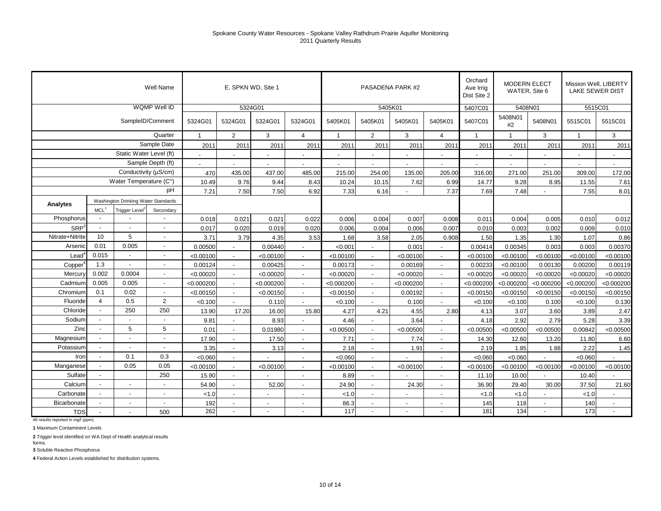|                   |                          |                                     | Well Name                |              |                | E. SPKN WD, Site 1       |                          |                          |                          | PASADENA PARK #2 |                          | Orchard<br>Ave Irrig<br>Dist Site 2 | <b>MODERN ELECT</b><br>WATER, Site 6 |                          | Mission Well, LIBERTY<br><b>LAKE SEWER DIST</b> |                          |
|-------------------|--------------------------|-------------------------------------|--------------------------|--------------|----------------|--------------------------|--------------------------|--------------------------|--------------------------|------------------|--------------------------|-------------------------------------|--------------------------------------|--------------------------|-------------------------------------------------|--------------------------|
|                   |                          |                                     | WQMP Well ID             |              |                | 5324G01                  |                          |                          |                          | 5405K01          |                          | 5407C01                             | 5408N01                              |                          | 5515C01                                         |                          |
|                   |                          |                                     | SampleID/Comment         | 5324G01      | 5324G01        | 5324G01                  | 5324G01                  | 5405K01                  | 5405K01                  | 5405K01          | 5405K01                  | 5407C01                             | 5408N01<br>#2                        | 5408N01                  | 5515C01                                         | 5515C01                  |
|                   |                          |                                     | Quarter                  | $\mathbf{1}$ | 2              | 3                        | $\overline{4}$           | $\overline{1}$           | $\overline{2}$           | 3                | $\overline{4}$           | $\overline{1}$                      | $\overline{1}$                       | 3                        | $\mathbf{1}$                                    | 3                        |
|                   |                          |                                     | Sample Date              | 2011         | 2011           | 2011                     | 2011                     | 2011                     | 2011                     | 2011             | 2011                     | 2011                                | 2011                                 | 2011                     | 2011                                            | 2011                     |
|                   |                          | Static Water Level (ft)             |                          | $\sim$       | $\sim$         | $\blacksquare$           | $\overline{\phantom{a}}$ | $\overline{\phantom{a}}$ | $\overline{\phantom{a}}$ | $\sim$           | $\overline{\phantom{a}}$ | $\blacksquare$                      | $\blacksquare$                       | $\overline{\phantom{a}}$ | $\overline{\phantom{a}}$                        | $\overline{\phantom{a}}$ |
|                   |                          |                                     | Sample Depth (ft)        | $\sim$       | $\sim$         | $\overline{\phantom{a}}$ | $\sim$                   | $\blacksquare$           | $\blacksquare$           | $\sim$           | $\overline{\phantom{a}}$ | ÷,                                  |                                      | $\overline{\phantom{a}}$ | $\blacksquare$                                  | $\overline{\phantom{a}}$ |
|                   |                          | Conductivity (µS/cm)                |                          | 470          | 435.00         | 437.00                   | 485.00                   | 215.00                   | 254.00                   | 135.00           | 205.00                   | 316.00                              | 271.00                               | 251.00                   | 309.00                                          | 172.00                   |
|                   |                          | Water Temperature (C°)              |                          | 10.49        | 9.76           | 9.44                     | 8.43                     | 10.24                    | 10.15                    | 7.62             | 6.99                     | 14.77                               | 9.28                                 | 8.95                     | 11.55                                           | 7.61                     |
|                   |                          |                                     | рH                       | 7.21         | 7.50           | 7.50                     | 6.92                     | 7.33                     | 6.16                     |                  | 7.37                     | 7.69                                | 7.48                                 |                          | 7.55                                            | 8.01                     |
|                   |                          | Washington Drinking Water Standards |                          |              |                |                          |                          |                          |                          |                  |                          |                                     |                                      |                          |                                                 |                          |
| Analytes          | MCL <sup>1</sup>         | Trigger Level <sup>2</sup>          | Secondary                |              |                |                          |                          |                          |                          |                  |                          |                                     |                                      |                          |                                                 |                          |
| Phosphorus        |                          |                                     |                          | 0.018        | 0.021          | 0.021                    | 0.022                    | 0.006                    | 0.004                    | 0.007            | 0.008                    | 0.011                               | 0.004                                | 0.005                    | 0.010                                           | 0.012                    |
| SRP <sup>3</sup>  |                          |                                     | $\overline{\phantom{a}}$ | 0.017        | 0.020          | 0.019                    | 0.020                    | 0.006                    | 0.004                    | 0.006            | 0.007                    | 0.010                               | 0.003                                | 0.002                    | 0.009                                           | 0.010                    |
| Nitrate+Nitrite   | 10                       | 5                                   | $\blacksquare$           | 3.71         | 3.79           | 4.35                     | 3.53                     | 1.68                     | 3.58                     | 2.05             | 0.908                    | 1.50                                | 1.35                                 | 1.30                     | 1.07                                            | 0.86                     |
| Arsenic           | 0.01                     | 0.005                               | $\sim$                   | 0.00500      | $\sim$         | 0.00440                  |                          | < 0.001                  | $\blacksquare$           | 0.001            |                          | 0.00414                             | 0.00345                              | 0.003                    | 0.003                                           | 0.00370                  |
| $\textsf{lead}^4$ | 0.015                    |                                     |                          | < 0.00100    |                | < 0.00100                |                          | < 0.00100                | $\overline{\phantom{a}}$ | < 0.00100        |                          | < 0.00100                           | < 0.00100                            | < 0.00100                | < 0.00100                                       | < 0.00100                |
| Copper            | 1.3                      |                                     | $\sim$                   | 0.00124      | $\sim$         | 0.00425                  | $\overline{\phantom{a}}$ | 0.00173                  | $\blacksquare$           | 0.00169          |                          | 0.00233                             | < 0.00100                            | 0.00130                  | 0.00200                                         | 0.00119                  |
| Mercury           | 0.002                    | 0.0004                              |                          | < 0.00020    |                | < 0.00020                |                          | < 0.00020                | $\blacksquare$           | < 0.00020        |                          | < 0.00020                           | < 0.00020                            | < 0.00020                | < 0.00020                                       | < 0.00020                |
| Cadmium           | 0.005                    | 0.005                               | $\sim$                   | < 0.000200   |                | < 0.000200               |                          | < 0.000200               | $\blacksquare$           | < 0.000200       |                          | < 0.000200                          | < 0.000200                           | < 0.000200               | < 0.000200                                      | < 0.000200               |
| Chromium          | 0.1                      | 0.02                                | $\overline{\phantom{a}}$ | < 0.00150    |                | < 0.00150                |                          | < 0.00150                |                          | 0.00192          |                          | < 0.00150                           | < 0.00150                            | < 0.00150                | < 0.00150                                       | < 0.00150                |
| Fluoride          | $\overline{4}$           | 0.5                                 | 2                        | < 0.100      |                | 0.110                    |                          | < 0.100                  |                          | 0.100            |                          | < 0.100                             | < 0.100                              | 0.100                    | < 0.100                                         | 0.130                    |
| Chloride          |                          | 250                                 | 250                      | 13.90        | 17.20          | 16.00                    | 15.80                    | 4.27                     | 4.21                     | 4.55             | 2.80                     | 4.13                                | 3.07                                 | 3.60                     | 3.89                                            | 2.47                     |
| Sodium            |                          | $\blacksquare$                      | $\blacksquare$           | 9.81         |                | 8.93                     |                          | 4.46                     |                          | 3.64             |                          | 4.18                                | 2.92                                 | 2.79                     | 5.28                                            | 3.39                     |
| Zinc              |                          | 5                                   | 5                        | 0.01         |                | 0.01980                  |                          | < 0.00500                |                          | < 0.00500        |                          | < 0.00500                           | < 0.00500                            | < 0.00500                | 0.00842                                         | < 0.00500                |
| Magnesium         |                          | $\overline{a}$                      | $\overline{\phantom{a}}$ | 17.90        |                | 17.50                    |                          | 7.71                     |                          | 7.74             |                          | 14.30                               | 12.60                                | 13.20                    | 11.80                                           | 6.60                     |
| Potassium         | $\overline{\phantom{a}}$ |                                     | $\overline{\phantom{a}}$ | 3.35         |                | 3.13                     |                          | 2.18                     | $\blacksquare$           | 1.91             |                          | 2.19                                | 1.85                                 | 1.88                     | 2.22                                            | 1.45                     |
| Iron              | $\overline{\phantom{a}}$ | 0.1                                 | 0.3                      | < 0.060      |                |                          |                          | < 0.060                  |                          |                  |                          | < 0.060                             | < 0.060                              |                          | < 0.060                                         |                          |
| Manganese         |                          | 0.05                                | 0.05                     | < 0.00100    |                | < 0.00100                |                          | < 0.00100                |                          | < 0.00100        |                          | < 0.00100                           | < 0.00100                            | < 0.00100                | < 0.00100                                       | < 0.00100                |
| Sulfate           | $\sim$                   |                                     | 250                      | 15.90        |                |                          |                          | 8.89                     |                          |                  |                          | 11.10                               | 10.00                                |                          | 10.40                                           |                          |
| Calcium           |                          | $\sim$                              |                          | 54.90        |                | 52.00                    |                          | 24.90                    | $\overline{a}$           | 24.30            |                          | 36.90                               | 29.40                                | 30.00                    | 37.50                                           | 21.60                    |
| Carbonate         | $\sim$                   | $\overline{\phantom{a}}$            | $\overline{\phantom{a}}$ | < 1.0        |                |                          |                          | < 1.0                    |                          |                  |                          | < 1.0                               | 1.0                                  |                          | < 1.0                                           |                          |
| Bicarbonate       |                          | $\overline{a}$                      | $\sim$                   | 192          | $\overline{a}$ | $\sim$                   |                          | 86.3                     | $\blacksquare$           |                  |                          | 145                                 | 118                                  | $\overline{a}$           | 140                                             |                          |
| <b>TDS</b>        | $\blacksquare$           |                                     | 500                      | 262          |                |                          |                          | 117                      |                          |                  |                          | 181                                 | 134                                  |                          | 173                                             |                          |

All results reported in mg/l (ppm)

**1** Maximum Contaminent Levels

**2** Trigger level identified on WA Dept of Health analytical results forms.

**3** Soluble Reactive Phosphorus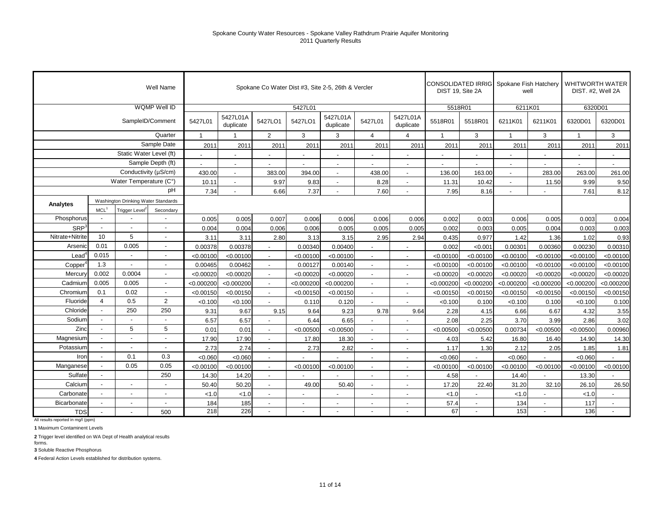|                   |                          |                                     | Well Name                |                          |                          | Spokane Co Water Dist #3, Site 2-5, 26th & Vercler |                |                          |                          |                          | DIST 19, Site 2A         |                          | CONSOLIDATED IRRIG Spokane Fish Hatchery | well           |                          | <b>WHITWORTH WATER</b><br>DIST. #2, Well 2A |
|-------------------|--------------------------|-------------------------------------|--------------------------|--------------------------|--------------------------|----------------------------------------------------|----------------|--------------------------|--------------------------|--------------------------|--------------------------|--------------------------|------------------------------------------|----------------|--------------------------|---------------------------------------------|
|                   |                          |                                     | WQMP Well ID             |                          |                          |                                                    | 5427L01        |                          |                          |                          | 5518R01                  |                          | 6211K01                                  |                | 6320D01                  |                                             |
|                   |                          |                                     | SampleID/Comment         | 5427L01                  | 5427L01A<br>duplicate    | 5427LO1                                            | 5427LO1        | 5427L01A<br>duplicate    | 5427L01                  | 5427L01A<br>duplicate    | 5518R01                  | 5518R01                  | 6211K01                                  | 6211K01        | 6320D01                  | 6320D01                                     |
|                   |                          |                                     | Quarter                  | $\mathbf{1}$             | $\mathbf{1}$             | $\overline{2}$                                     | 3              | 3                        | $\overline{4}$           | $\overline{4}$           | $\overline{1}$           | 3                        | $\overline{1}$                           | 3              | $\mathbf{1}$             | 3                                           |
|                   |                          |                                     | Sample Date              | 2011                     | 2011                     | 2011                                               | 2011           | 2011                     | 2011                     | 2011                     | 2011                     | 2011                     | 2011                                     | 2011           | 2011                     | 2011                                        |
|                   |                          | Static Water Level (ft)             |                          |                          | $\overline{\phantom{a}}$ | $\overline{\phantom{a}}$                           |                | $\overline{\phantom{a}}$ | $\overline{a}$           | $\overline{\phantom{a}}$ | $\overline{\phantom{a}}$ | $\overline{\phantom{a}}$ | $\overline{\phantom{a}}$                 |                | $\overline{\phantom{a}}$ | $\overline{\phantom{a}}$                    |
|                   |                          |                                     | Sample Depth (ft)        | $\overline{\phantom{a}}$ | $\overline{\phantom{a}}$ | $\overline{\phantom{a}}$                           | $\blacksquare$ | $\sim$                   | $\blacksquare$           | $\overline{\phantom{a}}$ | $\overline{\phantom{a}}$ | $\blacksquare$           | $\sim$                                   | $\sim$         | $\overline{\phantom{a}}$ | $\overline{\phantom{a}}$                    |
|                   |                          | Conductivity (µS/cm)                |                          | 430.00                   | $\overline{\phantom{a}}$ | 383.00                                             | 394.00         | $\sim$                   | 438.00                   | $\overline{\phantom{a}}$ | 136.00                   | 163.00                   | $\blacksquare$                           | 283.00         | 263.00                   | 261.00                                      |
|                   |                          | Water Temperature (C°)              |                          | 10.11                    | $\sim$                   | 9.97                                               | 9.83           | $\sim$                   | 8.28                     | $\overline{\phantom{a}}$ | 11.31                    | 10.42                    | $\overline{\phantom{a}}$                 | 11.50          | 9.99                     | 9.50                                        |
|                   |                          |                                     | pH                       | 7.34                     | $\blacksquare$           | 6.66                                               | 7.37           | $\overline{a}$           | 7.60                     | $\overline{\phantom{a}}$ | 7.95                     | 8.16                     | $\overline{a}$                           |                | 7.61                     | 8.12                                        |
| Analytes          |                          | Washington Drinking Water Standards |                          |                          |                          |                                                    |                |                          |                          |                          |                          |                          |                                          |                |                          |                                             |
|                   | MCL <sup>1</sup>         | Trigger Level <sup>2</sup>          | Secondary                |                          |                          |                                                    |                |                          |                          |                          |                          |                          |                                          |                |                          |                                             |
| Phosphorus        |                          |                                     |                          | 0.005                    | 0.005                    | 0.007                                              | 0.006          | 0.006                    | 0.006                    | 0.006                    | 0.002                    | 0.003                    | 0.006                                    | 0.005          | 0.003                    | 0.004                                       |
| SRP <sup>3</sup>  |                          |                                     |                          | 0.004                    | 0.004                    | 0.006                                              | 0.006          | 0.005                    | 0.005                    | 0.005                    | 0.002                    | 0.003                    | 0.005                                    | 0.004          | 0.003                    | 0.003                                       |
| Nitrate+Nitrite   | 10                       | 5                                   |                          | 3.11                     | 3.11                     | 2.80                                               | 3.13           | 3.15                     | 2.95                     | 2.94                     | 0.435                    | 0.977                    | 1.42                                     | 1.36           | 1.02                     | 0.93                                        |
| Arsenic           | 0.01                     | 0.005                               | $\overline{\phantom{a}}$ | 0.00378                  | 0.00378                  |                                                    | 0.00340        | 0.00400                  |                          |                          | 0.002                    | < 0.001                  | 0.00301                                  | 0.00360        | 0.00230                  | 0.00310                                     |
| $\textsf{lead}^4$ | 0.015                    | $\sim$                              |                          | < 0.00100                | < 0.00100                |                                                    | < 0.00100      | < 0.00100                | $\blacksquare$           |                          | < 0.00100                | < 0.00100                | < 0.00100                                | < 0.00100      | < 0.00100                | < 0.00100                                   |
| Copper            | 1.3                      | $\overline{a}$                      | $\overline{\phantom{a}}$ | 0.00465                  | 0.00462                  |                                                    | 0.00127        | 0.00140                  | $\overline{\phantom{a}}$ |                          | < 0.00100                | < 0.00100                | < 0.00100                                | < 0.00100      | < 0.00100                | < 0.00100                                   |
| Mercury           | 0.002                    | 0.0004                              |                          | < 0.00020                | < 0.00020                | $\overline{\phantom{a}}$                           | < 0.00020      | < 0.00020                | $\blacksquare$           |                          | < 0.00020                | < 0.00020                | < 0.00020                                | < 0.00020      | < 0.00020                | < 0.00020                                   |
| Cadmium           | 0.005                    | 0.005                               | $\blacksquare$           | < 0.000200               | < 0.000200               |                                                    | < 0.000200     | < 0.000200               | $\sim$                   |                          | < 0.000200               | < 0.000200               | < 0.000200                               | < 0.000200     | < 0.000200               | < 0.000200                                  |
| Chromium          | 0.1                      | 0.02                                | $\overline{\phantom{a}}$ | < 0.00150                | < 0.00150                | $\overline{a}$                                     | < 0.00150      | < 0.00150                | $\sim$                   |                          | < 0.00150                | < 0.00150                | < 0.00150                                | < 0.00150      | < 0.00150                | < 0.00150                                   |
| Fluoride          | $\overline{4}$           | 0.5                                 | $\overline{2}$           | < 0.100                  | < 0.100                  |                                                    | 0.110          | 0.120                    | $\overline{a}$           |                          | < 0.100                  | 0.100                    | < 0.100                                  | 0.100          | < 0.100                  | 0.100                                       |
| Chloride          | $\sim$                   | 250                                 | 250                      | 9.31                     | 9.67                     | 9.15                                               | 9.64           | 9.23                     | 9.78                     | 9.64                     | 2.28                     | 4.15                     | 6.66                                     | 6.67           | 4.32                     | 3.55                                        |
| Sodium            |                          |                                     |                          | 6.57                     | 6.57                     |                                                    | 6.44           | 6.65                     | $\overline{a}$           |                          | 2.08                     | 2.25                     | 3.70                                     | 3.99           | 2.86                     | 3.02                                        |
| Zinc              | $\overline{\phantom{a}}$ | 5                                   | $\overline{5}$           | 0.01                     | 0.01                     |                                                    | < 0.00500      | < 0.00500                | $\sim$                   |                          | < 0.00500                | < 0.00500                | 0.00734                                  | < 0.00500      | < 0.00500                | 0.00960                                     |
| Magnesium         |                          | $\overline{a}$                      | $\overline{\phantom{a}}$ | 17.90                    | 17.90                    | $\blacksquare$                                     | 17.80          | 18.30                    | $\sim$                   |                          | 4.03                     | 5.42                     | 16.80                                    | 16.40          | 14.90                    | 14.30                                       |
| Potassium         |                          | $\sim$                              | $\overline{\phantom{a}}$ | 2.73                     | 2.74                     |                                                    | 2.73           | 2.82                     | $\sim$                   |                          | 1.17                     | 1.30                     | 2.12                                     | 2.05           | 1.85                     | 1.81                                        |
| Iron              | $\overline{\phantom{a}}$ | 0.1                                 | 0.3                      | < 0.060                  | < 0.060                  | $\blacksquare$                                     |                |                          | $\blacksquare$           |                          | < 0.060                  |                          | < 0.060                                  |                | < 0.060                  |                                             |
| Manganese         |                          | 0.05                                | 0.05                     | < 0.00100                | < 0.00100                | $\blacksquare$                                     | < 0.00100      | < 0.00100                | $\sim$                   |                          | < 0.00100                | < 0.00100                | < 0.00100                                | < 0.00100      | < 0.00100                | < 0.00100                                   |
| Sulfate           | $\overline{\phantom{a}}$ |                                     | 250                      | 14.30                    | 14.20                    | $\blacksquare$                                     |                |                          | $\blacksquare$           | $\overline{\phantom{a}}$ | 4.58                     |                          | 14.40                                    | $\blacksquare$ | 13.30                    |                                             |
| Calcium           |                          | $\overline{a}$                      |                          | 50.40                    | 50.20                    | $\blacksquare$                                     | 49.00          | 50.40                    | $\sim$                   | $\overline{\phantom{a}}$ | 17.20                    | 22.40                    | 31.20                                    | 32.10          | 26.10                    | 26.50                                       |
| Carbonate         | $\overline{\phantom{a}}$ | $\sim$                              | $\overline{\phantom{a}}$ | 1.0                      | < 1.0                    | $\overline{\phantom{a}}$                           |                | $\overline{\phantom{a}}$ | $\overline{\phantom{a}}$ | $\overline{\phantom{a}}$ | < 1.0                    | ÷,                       | < 1.0                                    | $\sim$         | < 1.0                    |                                             |
| Bicarbonate       |                          | $\overline{\phantom{a}}$            |                          | 184                      | 185                      | $\blacksquare$                                     |                | $\sim$                   | $\blacksquare$           | $\overline{\phantom{a}}$ | 57.4                     | $\blacksquare$           | 134                                      | $\sim$         | 117                      | $\blacksquare$                              |
| <b>TDS</b>        |                          |                                     | 500                      | 218                      | 226                      |                                                    |                |                          | $\blacksquare$           |                          | 67                       |                          | 153                                      | $\sim$         | 136                      |                                             |

All results reported in mg/l (ppm)

**1** Maximum Contaminent Levels

**2** Trigger level identified on WA Dept of Health analytical results forms.

**3** Soluble Reactive Phosphorus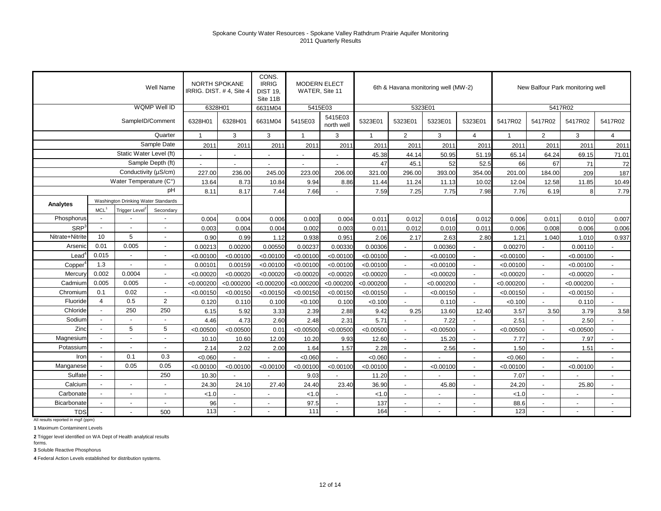|                     |                          |                                     | Well Name         | <b>NORTH SPOKANE</b>     | IRRIG. DIST. #4, Site 4 | CONS.<br><b>IRRIG</b><br><b>DIST 19.</b><br>Site 11B | <b>MODERN ELECT</b><br>WATER, Site 11 |                          |              |                          | 6th & Havana monitoring well (MW-2) |                          |             | New Balfour Park monitoring well |            |                             |
|---------------------|--------------------------|-------------------------------------|-------------------|--------------------------|-------------------------|------------------------------------------------------|---------------------------------------|--------------------------|--------------|--------------------------|-------------------------------------|--------------------------|-------------|----------------------------------|------------|-----------------------------|
|                     |                          |                                     | WQMP Well ID      | 6328H01                  |                         | 6631M04                                              | 5415E03                               |                          |              | 5323E01                  |                                     |                          |             | 5417R02                          |            |                             |
|                     |                          | SampleID/Comment                    |                   | 6328H01                  | 6328H01                 | 6631M04                                              | 5415E03                               | 5415E03<br>north well    | 5323E01      | 5323E01                  | 5323E01                             | 5323E01                  | 5417R02     | 5417R02                          | 5417R02    | 5417R02                     |
|                     |                          |                                     | Quarter           | $\mathbf 1$              | 3                       | 3                                                    | $\mathbf{1}$                          | 3                        | $\mathbf{1}$ | $\overline{2}$           | 3                                   | $\overline{4}$           | $\mathbf 1$ | $\overline{2}$                   | 3          | $\overline{4}$              |
|                     |                          |                                     | Sample Date       | 2011                     | 2011                    | 2011                                                 | 2011                                  | 2011                     | 2011         | 2011                     | 2011                                | 201                      | 2011        | 2011                             | 2011       | 2011                        |
|                     |                          | Static Water Level (ft)             |                   | $\blacksquare$           | $\sim$                  | $\overline{a}$                                       | $\blacksquare$                        | $\overline{\phantom{a}}$ | 45.38        | 44.14                    | 50.95                               | 51.19                    | 65.14       | 64.24                            | 69.15      | 71.01                       |
|                     |                          |                                     | Sample Depth (ft) | $\overline{\phantom{a}}$ | $\blacksquare$          | $\blacksquare$                                       |                                       |                          | 47           | 45.1                     | 52                                  | 52.5                     | 66          | 67                               | 71         | 72                          |
|                     |                          | Conductivity (µS/cm)                |                   | 227.00                   | 236.00                  | 245.00                                               | 223.00                                | 206.00                   | 321.00       | 296.00                   | 393.00                              | 354.00                   | 201.00      | 184.00                           | 209        | 187                         |
|                     |                          | Water Temperature (C°)              |                   | 13.64                    | 8.73                    | 10.84                                                | 9.94                                  | 8.86                     | 11.44        | 11.24                    | 11.13                               | 10.02                    | 12.04       | 12.58                            | 11.85      | 10.49                       |
|                     |                          |                                     | рH                | 8.11                     | 8.17                    | 7.44                                                 | 7.66                                  |                          | 7.59         | 7.25                     | 7.75                                | 7.98                     | 7.76        | 6.19                             | 8          | 7.79                        |
| Analytes            |                          | Washington Drinking Water Standards |                   |                          |                         |                                                      |                                       |                          |              |                          |                                     |                          |             |                                  |            |                             |
|                     | MCL <sup>1</sup>         | Trigger Level <sup>2</sup>          | Secondary         |                          |                         |                                                      |                                       |                          |              |                          |                                     |                          |             |                                  |            |                             |
| Phosphorus          |                          |                                     |                   | 0.004                    | 0.004                   | 0.006                                                | 0.003                                 | 0.004                    | 0.011        | 0.012                    | 0.016                               | 0.012                    | 0.006       | 0.011                            | 0.010      | 0.007                       |
| SRP <sup>3</sup>    | $\sim$                   |                                     |                   | 0.003                    | 0.004                   | 0.004                                                | 0.002                                 | 0.003                    | 0.011        | 0.012                    | 0.010                               | 0.011                    | 0.006       | 0.008                            | 0.006      | 0.006                       |
| Nitrate+Nitrite     | 10                       | 5                                   | $\blacksquare$    | 0.90                     | 0.99                    | 1.12                                                 | 0.938                                 | 0.951                    | 2.06         | 2.17                     | 2.63                                | 2.80                     | 1.21        | 1.040                            | 1.010      | 0.937                       |
| Arsenic             | 0.01                     | 0.005                               | $\blacksquare$    | 0.00213                  | 0.00200                 | 0.00550                                              | 0.00237                               | 0.00330                  | 0.00306      |                          | 0.00360                             |                          | 0.00270     |                                  | 0.00110    |                             |
| $\textsf{lead}^4$   | 0.015                    | $\blacksquare$                      | $\blacksquare$    | < 0.00100                | < 0.00100               | < 0.00100                                            | < 0.00100                             | < 0.00100                | < 0.00100    | $\blacksquare$           | < 0.00100                           |                          | < 0.00100   |                                  | < 0.00100  |                             |
| Copper <sup>*</sup> | 1.3                      |                                     | $\blacksquare$    | 0.00101                  | 0.00159                 | < 0.00100                                            | < 0.00100                             | < 0.00100                | < 0.00100    | $\blacksquare$           | < 0.00100                           |                          | < 0.00100   |                                  | < 0.00100  |                             |
| Mercury             | 0.002                    | 0.0004                              | $\blacksquare$    | < 0.00020                | < 0.00020               | < 0.00020                                            | < 0.00020                             | < 0.00020                | < 0.00020    | $\overline{a}$           | < 0.00020                           |                          | < 0.00020   |                                  | < 0.00020  | $\overline{\phantom{a}}$    |
| Cadmium             | 0.005                    | 0.005                               | $\blacksquare$    | < 0.000200               | < 0.000200              | < 0.000200                                           | < 0.000200                            | < 0.000200               | < 0.000200   | $\overline{a}$           | < 0.000200                          |                          | < 0.000200  |                                  | < 0.000200 | $\overline{a}$              |
| Chromium            | 0.1                      | 0.02                                | $\blacksquare$    | < 0.00150                | < 0.00150               | < 0.00150                                            | < 0.00150                             | < 0.00150                | < 0.00150    | $\blacksquare$           | < 0.00150                           |                          | < 0.00150   |                                  | < 0.00150  | $\overline{\phantom{a}}$    |
| Fluoride            | $\overline{4}$           | 0.5                                 | 2                 | 0.120                    | 0.110                   | 0.100                                                | < 0.100                               | 0.100                    | < 0.100      | $\overline{\phantom{a}}$ | 0.110                               | $\overline{a}$           | < 0.100     |                                  | 0.110      | $\mathcal{L}_{\mathcal{A}}$ |
| Chloride            | $\overline{\phantom{a}}$ | 250                                 | 250               | 6.15                     | 5.92                    | 3.33                                                 | 2.39                                  | 2.88                     | 9.42         | 9.25                     | 13.60                               | 12.40                    | 3.57        | 3.50                             | 3.79       | 3.58                        |
| Sodium              |                          | $\overline{\phantom{a}}$            |                   | 4.46                     | 4.73                    | 2.60                                                 | 2.48                                  | 2.31                     | 5.71         |                          | 7.22                                |                          | 2.51        |                                  | 2.50       |                             |
| Zinc                | $\overline{a}$           | 5                                   | 5                 | < 0.00500                | < 0.00500               | 0.01                                                 | < 0.00500                             | < 0.00500                | < 0.00500    | $\blacksquare$           | < 0.00500                           |                          | < 0.00500   |                                  | < 0.00500  | $\sim$                      |
| Magnesium           |                          | $\sim$                              | $\blacksquare$    | 10.10                    | 10.60                   | 12.00                                                | 10.20                                 | 9.93                     | 12.60        | $\blacksquare$           | 15.20                               |                          | 7.77        | $\overline{a}$                   | 7.97       | $\overline{a}$              |
| Potassium           | $\overline{a}$           | $\blacksquare$                      | $\blacksquare$    | 2.14                     | 2.02                    | 2.00                                                 | 1.64                                  | 1.57                     | 2.28         | $\blacksquare$           | 2.56                                | $\overline{a}$           | 1.50        | $\overline{a}$                   | 1.51       | $\overline{a}$              |
| Iron                | $\overline{a}$           | 0.1                                 | 0.3               | < 0.060                  |                         |                                                      | < 0.060                               |                          | < 0.060      | $\blacksquare$           |                                     |                          | < 0.060     | $\overline{\phantom{a}}$         |            |                             |
| Manganese           |                          | 0.05                                | 0.05              | < 0.00100                | < 0.00100               | < 0.00100                                            | < 0.00100                             | < 0.00100                | < 0.00100    | $\sim$                   | < 0.00100                           | $\overline{a}$           | < 0.00100   | $\blacksquare$                   | < 0.00100  | $\sim$                      |
| Sulfate             | $\sim$                   |                                     | 250               | 10.30                    |                         |                                                      | 9.03                                  |                          | 11.20        | $\overline{\phantom{a}}$ |                                     | $\overline{a}$           | 7.07        | $\overline{\phantom{a}}$         |            | $\overline{\phantom{a}}$    |
| Calcium             |                          |                                     |                   | 24.30                    | 24.10                   | 27.40                                                | 24.40                                 | 23.40                    | 36.90        | $\blacksquare$           | 45.80                               | $\overline{\phantom{a}}$ | 24.20       | $\overline{\phantom{a}}$         | 25.80      | $\overline{\phantom{a}}$    |
| Carbonate           | $\overline{\phantom{a}}$ | $\overline{\phantom{a}}$            | $\blacksquare$    | < 1.0                    | $\sim$                  | ÷,                                                   | < 1.0                                 | $\overline{a}$           | < 1.0        | $\blacksquare$           |                                     | $\sim$                   | < 1.0       | $\overline{a}$                   |            | $\overline{\phantom{a}}$    |
| Bicarbonate         |                          |                                     |                   | 96                       |                         |                                                      | 97.5                                  |                          | 137          | $\blacksquare$           |                                     |                          | 88.6        | $\blacksquare$                   |            | $\overline{\phantom{a}}$    |
| <b>TDS</b>          |                          |                                     | 500               | 113                      |                         |                                                      | $111$                                 |                          | 164          | $\sim$                   |                                     |                          | 123         |                                  |            |                             |

All results reported in mg/l (ppm)

**1** Maximum Contaminent Levels

**2** Trigger level identified on WA Dept of Health analytical results forms.

**3** Soluble Reactive Phosphorus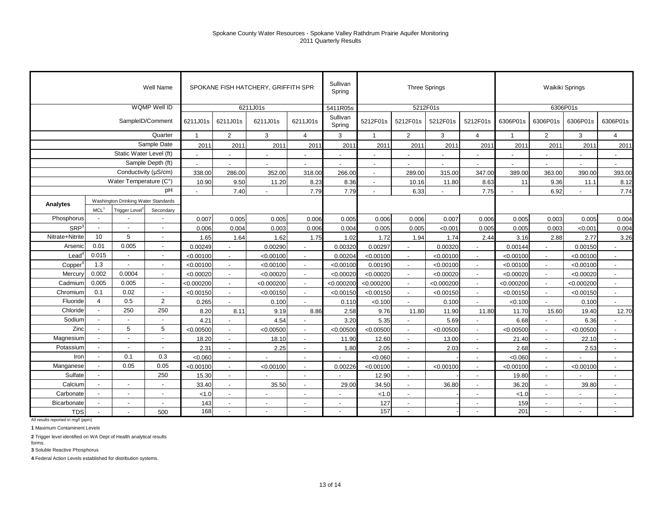| Well Name               |                          |                                     |                          | SPOKANE FISH HATCHERY, GRIFFITH SPR |                          |                          |                          | Sullivan<br>Spring       | <b>Three Springs</b>     |                          |                          |                          | Waikiki Springs          |                          |                          |                          |
|-------------------------|--------------------------|-------------------------------------|--------------------------|-------------------------------------|--------------------------|--------------------------|--------------------------|--------------------------|--------------------------|--------------------------|--------------------------|--------------------------|--------------------------|--------------------------|--------------------------|--------------------------|
| WQMP Well ID            |                          |                                     |                          | 6211J01s                            |                          |                          |                          | 5411R05s                 | 5212F01s                 |                          |                          |                          | 6306P01s                 |                          |                          |                          |
|                         |                          | SampleID/Comment                    | 6211J01s                 | 6211J01s                            | 6211J01s                 | 6211J01s                 | Sullivan<br>Spring       | 5212F01s                 | 5212F01s                 | 5212F01s                 | 5212F01s                 | 6306P01s                 | 6306P01s                 | 6306P01s                 | 6306P01s                 |                          |
|                         |                          | Quarter                             | $\overline{1}$           | 2                                   | 3                        | $\overline{4}$           | 3                        | $\mathbf{1}$             | $\overline{2}$           | 3                        | $\overline{4}$           | $\overline{1}$           | $\overline{2}$           | 3                        | $\overline{4}$           |                          |
| Sample Date             |                          |                                     |                          | 2011                                | 2011                     | 2011                     | 2011                     | 2011                     | 2011                     | 2011                     | 2011                     | 2011                     | 2011                     | 2011                     | 2011                     | 2011                     |
| Static Water Level (ft) |                          |                                     | $\blacksquare$           | $\sim$                              | $\overline{\phantom{a}}$ | $\overline{a}$           | $\overline{a}$           | $\overline{\phantom{a}}$ | $\overline{\phantom{a}}$ | $\blacksquare$           | $\overline{\phantom{a}}$ | $\blacksquare$           | $\overline{\phantom{a}}$ | $\overline{\phantom{a}}$ | $\blacksquare$           |                          |
| Sample Depth (ft)       |                          |                                     |                          | $\blacksquare$                      |                          | $\overline{\phantom{a}}$ |                          | $\blacksquare$           |                          |                          |                          | $\overline{\phantom{a}}$ | $\blacksquare$           | $\blacksquare$           | $\overline{\phantom{a}}$ | $\overline{\phantom{a}}$ |
| Conductivity (µS/cm)    |                          |                                     |                          | 338.00                              | 286.00                   | 352.00                   | 318.00                   | 266.00                   | $\overline{\phantom{a}}$ | 289.00                   | 315.00                   | 347.00                   | 389.00                   | 363.00                   | 390.00                   | 393.00                   |
|                         | Water Temperature (C°)   |                                     |                          |                                     | 9.50                     | 11.20                    | 8.23                     | 8.36                     | $\overline{\phantom{a}}$ | 10.16                    | 11.80                    | 8.63                     | 11                       | 9.36                     | 11.1                     | 8.12                     |
| pH                      |                          |                                     |                          |                                     | 7.40                     |                          | 7.79                     | 7.79                     |                          | 6.33                     |                          | 7.75                     |                          | 6.92                     |                          | 7.74                     |
| Analytes                |                          | Washington Drinking Water Standards |                          |                                     |                          |                          |                          |                          |                          |                          |                          |                          |                          |                          |                          |                          |
|                         | MCL <sup>1</sup>         | <b>Trigger Level</b>                | Secondary                |                                     |                          |                          |                          |                          |                          |                          |                          |                          |                          |                          |                          |                          |
| Phosphorus              |                          |                                     |                          | 0.007                               | 0.005                    | 0.005                    | 0.006                    | 0.005                    | 0.006                    | 0.006                    | 0.007                    | 0.006                    | 0.005                    | 0.003                    | 0.005                    | 0.004                    |
| SRP <sup>3</sup>        | $\blacksquare$           |                                     | $\overline{a}$           | 0.006                               | 0.004                    | 0.003                    | 0.006                    | 0.004                    | 0.005                    | 0.005                    | < 0.001                  | 0.005                    | 0.005                    | 0.003                    | < 0.001                  | 0.004                    |
| Nitrate+Nitrite         | 10                       | 5                                   | $\blacksquare$           | 1.65                                | 1.64                     | 1.62                     | 1.75                     | 1.02                     | 1.72                     | 1.94                     | 1.74                     | 2.44                     | 3.16                     | 2.88                     | 2.77                     | 3.26                     |
| Arsenic                 | 0.01                     | 0.005                               | $\blacksquare$           | 0.00249                             |                          | 0.00290                  |                          | 0.00320                  | 0.00297                  |                          | 0.00320                  |                          | 0.00144                  |                          | 0.00150                  |                          |
| $\text{Lead}^4$         | 0.015                    | $\overline{a}$                      | $\overline{\phantom{a}}$ | < 0.00100                           |                          | < 0.00100                | $\overline{\phantom{a}}$ | 0.00204                  | < 0.00100                |                          | < 0.00100                |                          | < 0.00100                |                          | < 0.00100                |                          |
| Copper <sup>4</sup>     | 1.3                      | $\overline{\phantom{a}}$            | $\overline{\phantom{a}}$ | < 0.00100                           |                          | < 0.00100                | $\overline{\phantom{a}}$ | < 0.00100                | 0.00190                  |                          | < 0.00100                |                          | < 0.00100                |                          | < 0.00100                |                          |
| Mercury                 | 0.002                    | 0.0004                              | $\blacksquare$           | < 0.00020                           |                          | < 0.00020                | $\blacksquare$           | < 0.00020                | < 0.00020                |                          | < 0.00020                |                          | < 0.00020                |                          | < 0.00020                |                          |
| Cadmium                 | 0.005                    | 0.005                               | $\blacksquare$           | < 0.000200                          |                          | < 0.000200               |                          | < 0.000200               | < 0.000200               |                          | < 0.000200               |                          | < 0.000200               |                          | < 0.000200               | $\sim$                   |
| Chromium                | 0.1                      | 0.02                                | $\overline{\phantom{a}}$ | < 0.00150                           | $\blacksquare$           | < 0.00150                | $\sim$                   | < 0.00150                | < 0.00150                |                          | < 0.00150                |                          | < 0.00150                | $\blacksquare$           | < 0.00150                | $\sim$                   |
| Fluoride                | $\overline{4}$           | 0.5                                 | 2                        | 0.265                               |                          | 0.100                    |                          | 0.110                    | < 0.100                  |                          | 0.100                    |                          | < 0.100                  |                          | 0.100                    | $\overline{a}$           |
| Chloride                | $\overline{\phantom{a}}$ | 250                                 | 250                      | 8.20                                | 8.11                     | 9.19                     | 8.86                     | 2.58                     | 9.76                     | 11.80                    | 11.90                    | 11.80                    | 11.70                    | 15.60                    | 19.40                    | 12.70                    |
| Sodium                  | $\sim$                   |                                     | $\overline{a}$           | 4.21                                | $\overline{a}$           | 4.54                     |                          | 3.20                     | 5.35                     |                          | 5.69                     |                          | 6.68                     |                          | 6.36                     | $\overline{a}$           |
| Zinc                    | $\blacksquare$           | 5                                   | 5                        | < 0.00500                           |                          | < 0.00500                | $\overline{\phantom{a}}$ | < 0.00500                | < 0.00500                |                          | < 0.00500                |                          | < 0.00500                |                          | < 0.00500                | $\sim$                   |
| Magnesium               |                          | $\overline{a}$                      | $\overline{a}$           | 18.20                               | $\blacksquare$           | 18.10                    | $\blacksquare$           | 11.90                    | 12.60                    |                          | 13.00                    |                          | 21.40                    |                          | 22.10                    | $\sim$                   |
| Potassium               | $\blacksquare$           | $\overline{a}$                      | $\blacksquare$           | 2.31                                |                          | 2.25                     | $\blacksquare$           | 1.80                     | 2.05                     |                          | 2.03                     |                          | 2.68                     |                          | 2.53                     | $\sim$                   |
| Iron                    | $\sim$                   | 0.1                                 | 0.3                      | < 0.060                             | $\blacksquare$           |                          | $\overline{\phantom{a}}$ |                          | < 0.060                  |                          |                          |                          | < 0.060                  |                          |                          | $\sim$                   |
| Manganese               |                          | 0.05                                | 0.05                     | < 0.00100                           | $\blacksquare$           | < 0.00100                | $\overline{\phantom{a}}$ | 0.00226                  | < 0.00100                |                          | < 0.00100                | $\overline{\phantom{a}}$ | < 0.00100                |                          | < 0.00100                | $\overline{\phantom{a}}$ |
| Sulfate                 | $\blacksquare$           |                                     | 250                      | 15.30                               | $\blacksquare$           | $\blacksquare$           | $\overline{\phantom{a}}$ |                          | 12.90                    | $\overline{\phantom{a}}$ |                          | $\overline{\phantom{a}}$ | 19.80                    | $\overline{\phantom{a}}$ |                          | $\blacksquare$           |
| Calcium                 | $\blacksquare$           | $\overline{a}$                      | $\blacksquare$           | 33.40                               | $\blacksquare$           | 35.50                    | $\sim$                   | 29.00                    | 34.50                    |                          | 36.80                    | $\overline{\phantom{a}}$ | 36.20                    |                          | 39.80                    | $\overline{\phantom{a}}$ |
| Carbonate               | $\blacksquare$           | $\overline{\phantom{a}}$            | $\blacksquare$           | < 1.0                               | $\overline{\phantom{a}}$ | $\overline{\phantom{a}}$ | $\overline{\phantom{a}}$ |                          | < 1.0                    | $\overline{\phantom{a}}$ |                          | $\overline{\phantom{a}}$ | < 1.0                    | $\overline{\phantom{a}}$ |                          | $\blacksquare$           |
| Bicarbonate             | $\blacksquare$           | $\blacksquare$                      | $\blacksquare$           | 143                                 | $\overline{\phantom{a}}$ | $\overline{\phantom{a}}$ | $\sim$                   | $\overline{\phantom{a}}$ | 127                      | $\overline{\phantom{a}}$ |                          | $\overline{\phantom{a}}$ | 159                      | $\overline{\phantom{a}}$ | $\overline{\phantom{a}}$ | $\overline{\phantom{a}}$ |
| <b>TDS</b>              | $\blacksquare$           |                                     | 500                      | 168                                 | $\sim$                   |                          |                          |                          | 157                      | $\overline{\phantom{a}}$ |                          |                          | 201                      | $\overline{\phantom{a}}$ |                          |                          |

All results reported in mg/l (ppm)

**1** Maximum Contaminent Levels

**2** Trigger level identified on WA Dept of Health analytical results forms.

**3** Soluble Reactive Phosphorus